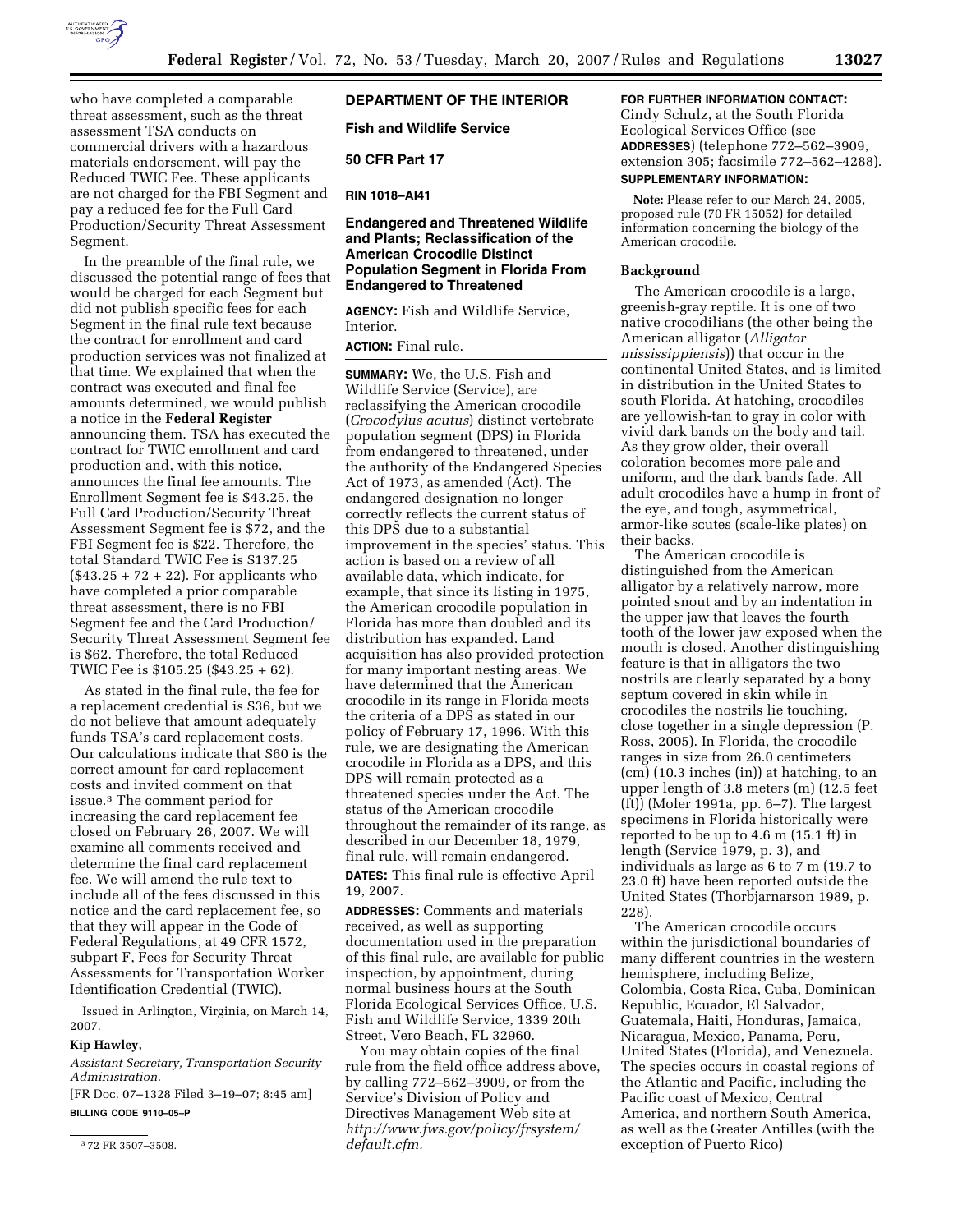

who have completed a comparable threat assessment, such as the threat assessment TSA conducts on commercial drivers with a hazardous materials endorsement, will pay the Reduced TWIC Fee. These applicants are not charged for the FBI Segment and pay a reduced fee for the Full Card Production/Security Threat Assessment Segment.

In the preamble of the final rule, we discussed the potential range of fees that would be charged for each Segment but did not publish specific fees for each Segment in the final rule text because the contract for enrollment and card production services was not finalized at that time. We explained that when the contract was executed and final fee amounts determined, we would publish a notice in the **Federal Register**  announcing them. TSA has executed the contract for TWIC enrollment and card production and, with this notice, announces the final fee amounts. The Enrollment Segment fee is \$43.25, the Full Card Production/Security Threat Assessment Segment fee is \$72, and the FBI Segment fee is \$22. Therefore, the total Standard TWIC Fee is \$137.25  $(\$43.25 + 72 + 22)$ . For applicants who have completed a prior comparable threat assessment, there is no FBI Segment fee and the Card Production/ Security Threat Assessment Segment fee is \$62. Therefore, the total Reduced TWIC Fee is \$105.25 (\$43.25 + 62).

As stated in the final rule, the fee for a replacement credential is \$36, but we do not believe that amount adequately funds TSA's card replacement costs. Our calculations indicate that \$60 is the correct amount for card replacement costs and invited comment on that issue.3 The comment period for increasing the card replacement fee closed on February 26, 2007. We will examine all comments received and determine the final card replacement fee. We will amend the rule text to include all of the fees discussed in this notice and the card replacement fee, so that they will appear in the Code of Federal Regulations, at 49 CFR 1572, subpart F, Fees for Security Threat Assessments for Transportation Worker Identification Credential (TWIC).

Issued in Arlington, Virginia, on March 14, 2007.

### **Kip Hawley,**

*Assistant Secretary, Transportation Security Administration.* 

[FR Doc. 07–1328 Filed 3–19–07; 8:45 am] **BILLING CODE 9110–05–P** 

# **DEPARTMENT OF THE INTERIOR**

**Fish and Wildlife Service** 

**50 CFR Part 17** 

**RIN 1018–AI41** 

# **Endangered and Threatened Wildlife and Plants; Reclassification of the American Crocodile Distinct Population Segment in Florida From Endangered to Threatened**

**AGENCY:** Fish and Wildlife Service, Interior.

**ACTION:** Final rule.

**SUMMARY:** We, the U.S. Fish and Wildlife Service (Service), are reclassifying the American crocodile (*Crocodylus acutus*) distinct vertebrate population segment (DPS) in Florida from endangered to threatened, under the authority of the Endangered Species Act of 1973, as amended (Act). The endangered designation no longer correctly reflects the current status of this DPS due to a substantial improvement in the species' status. This action is based on a review of all available data, which indicate, for example, that since its listing in 1975, the American crocodile population in Florida has more than doubled and its distribution has expanded. Land acquisition has also provided protection for many important nesting areas. We have determined that the American crocodile in its range in Florida meets the criteria of a DPS as stated in our policy of February 17, 1996. With this rule, we are designating the American crocodile in Florida as a DPS, and this DPS will remain protected as a threatened species under the Act. The status of the American crocodile throughout the remainder of its range, as described in our December 18, 1979, final rule, will remain endangered.

**DATES:** This final rule is effective April 19, 2007.

**ADDRESSES:** Comments and materials received, as well as supporting documentation used in the preparation of this final rule, are available for public inspection, by appointment, during normal business hours at the South Florida Ecological Services Office, U.S. Fish and Wildlife Service, 1339 20th Street, Vero Beach, FL 32960.

You may obtain copies of the final rule from the field office address above, by calling 772–562–3909, or from the Service's Division of Policy and Directives Management Web site at *http://www.fws.gov/policy/frsystem/ default.cfm.* 

# **FOR FURTHER INFORMATION CONTACT:**

Cindy Schulz, at the South Florida Ecological Services Office (see **ADDRESSES**) (telephone 772–562–3909, extension 305; facsimile 772–562–4288). **SUPPLEMENTARY INFORMATION:** 

**Note:** Please refer to our March 24, 2005, proposed rule (70 FR 15052) for detailed information concerning the biology of the American crocodile.

#### **Background**

The American crocodile is a large, greenish-gray reptile. It is one of two native crocodilians (the other being the American alligator (*Alligator mississippiensis*)) that occur in the continental United States, and is limited in distribution in the United States to south Florida. At hatching, crocodiles are yellowish-tan to gray in color with vivid dark bands on the body and tail. As they grow older, their overall coloration becomes more pale and uniform, and the dark bands fade. All adult crocodiles have a hump in front of the eye, and tough, asymmetrical, armor-like scutes (scale-like plates) on their backs.

The American crocodile is distinguished from the American alligator by a relatively narrow, more pointed snout and by an indentation in the upper jaw that leaves the fourth tooth of the lower jaw exposed when the mouth is closed. Another distinguishing feature is that in alligators the two nostrils are clearly separated by a bony septum covered in skin while in crocodiles the nostrils lie touching, close together in a single depression (P. Ross, 2005). In Florida, the crocodile ranges in size from 26.0 centimeters (cm) (10.3 inches (in)) at hatching, to an upper length of 3.8 meters (m) (12.5 feet (ft)) (Moler 1991a, pp. 6–7). The largest specimens in Florida historically were reported to be up to 4.6 m (15.1 ft) in length (Service 1979, p. 3), and individuals as large as 6 to 7 m (19.7 to 23.0 ft) have been reported outside the United States (Thorbjarnarson 1989, p. 228).

The American crocodile occurs within the jurisdictional boundaries of many different countries in the western hemisphere, including Belize, Colombia, Costa Rica, Cuba, Dominican Republic, Ecuador, El Salvador, Guatemala, Haiti, Honduras, Jamaica, Nicaragua, Mexico, Panama, Peru, United States (Florida), and Venezuela. The species occurs in coastal regions of the Atlantic and Pacific, including the Pacific coast of Mexico, Central America, and northern South America, as well as the Greater Antilles (with the exception of Puerto Rico)

<sup>3</sup> 72 FR 3507–3508.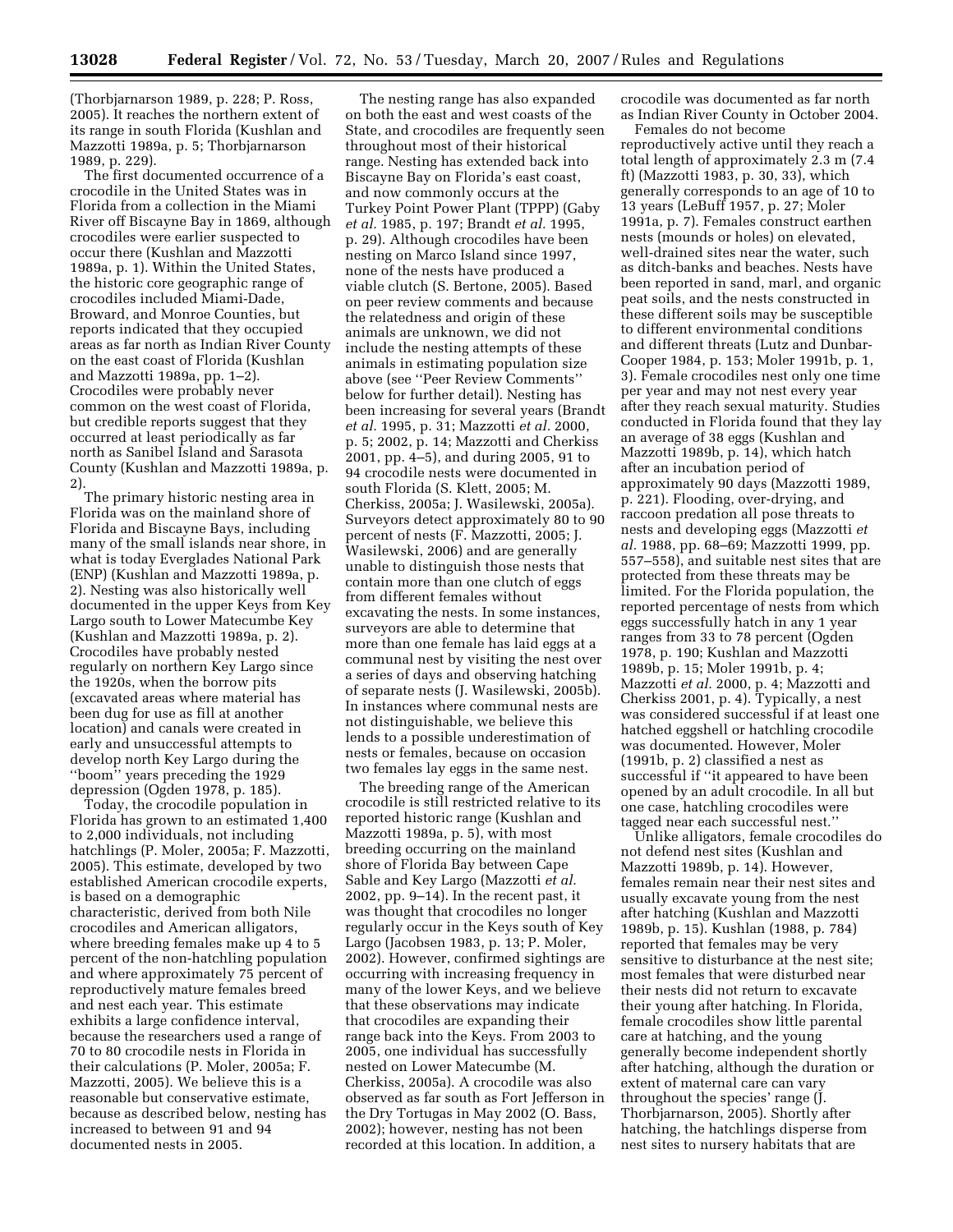(Thorbjarnarson 1989, p. 228; P. Ross, 2005). It reaches the northern extent of its range in south Florida (Kushlan and Mazzotti 1989a, p. 5; Thorbjarnarson 1989, p. 229).

The first documented occurrence of a crocodile in the United States was in Florida from a collection in the Miami River off Biscayne Bay in 1869, although crocodiles were earlier suspected to occur there (Kushlan and Mazzotti 1989a, p. 1). Within the United States, the historic core geographic range of crocodiles included Miami-Dade, Broward, and Monroe Counties, but reports indicated that they occupied areas as far north as Indian River County on the east coast of Florida (Kushlan and Mazzotti 1989a, pp. 1–2). Crocodiles were probably never common on the west coast of Florida, but credible reports suggest that they occurred at least periodically as far north as Sanibel Island and Sarasota County (Kushlan and Mazzotti 1989a, p. 2).

The primary historic nesting area in Florida was on the mainland shore of Florida and Biscayne Bays, including many of the small islands near shore, in what is today Everglades National Park (ENP) (Kushlan and Mazzotti 1989a, p. 2). Nesting was also historically well documented in the upper Keys from Key Largo south to Lower Matecumbe Key (Kushlan and Mazzotti 1989a, p. 2). Crocodiles have probably nested regularly on northern Key Largo since the 1920s, when the borrow pits (excavated areas where material has been dug for use as fill at another location) and canals were created in early and unsuccessful attempts to develop north Key Largo during the ''boom'' years preceding the 1929 depression (Ogden 1978, p. 185).

Today, the crocodile population in Florida has grown to an estimated 1,400 to 2,000 individuals, not including hatchlings (P. Moler, 2005a; F. Mazzotti, 2005). This estimate, developed by two established American crocodile experts, is based on a demographic characteristic, derived from both Nile crocodiles and American alligators, where breeding females make up 4 to 5 percent of the non-hatchling population and where approximately 75 percent of reproductively mature females breed and nest each year. This estimate exhibits a large confidence interval, because the researchers used a range of 70 to 80 crocodile nests in Florida in their calculations (P. Moler, 2005a; F. Mazzotti, 2005). We believe this is a reasonable but conservative estimate, because as described below, nesting has increased to between 91 and 94 documented nests in 2005.

The nesting range has also expanded on both the east and west coasts of the State, and crocodiles are frequently seen throughout most of their historical range. Nesting has extended back into Biscayne Bay on Florida's east coast, and now commonly occurs at the Turkey Point Power Plant (TPPP) (Gaby *et al.* 1985, p. 197; Brandt *et al.* 1995, p. 29). Although crocodiles have been nesting on Marco Island since 1997, none of the nests have produced a viable clutch (S. Bertone, 2005). Based on peer review comments and because the relatedness and origin of these animals are unknown, we did not include the nesting attempts of these animals in estimating population size above (see ''Peer Review Comments'' below for further detail). Nesting has been increasing for several years (Brandt *et al.* 1995, p. 31; Mazzotti *et al.* 2000, p. 5; 2002, p. 14; Mazzotti and Cherkiss 2001, pp. 4–5), and during 2005, 91 to 94 crocodile nests were documented in south Florida (S. Klett, 2005; M. Cherkiss, 2005a; J. Wasilewski, 2005a). Surveyors detect approximately 80 to 90 percent of nests (F. Mazzotti, 2005; J. Wasilewski, 2006) and are generally unable to distinguish those nests that contain more than one clutch of eggs from different females without excavating the nests. In some instances, surveyors are able to determine that more than one female has laid eggs at a communal nest by visiting the nest over a series of days and observing hatching of separate nests (J. Wasilewski, 2005b). In instances where communal nests are not distinguishable, we believe this lends to a possible underestimation of nests or females, because on occasion two females lay eggs in the same nest.

The breeding range of the American crocodile is still restricted relative to its reported historic range (Kushlan and Mazzotti 1989a, p. 5), with most breeding occurring on the mainland shore of Florida Bay between Cape Sable and Key Largo (Mazzotti *et al.*  2002, pp. 9–14). In the recent past, it was thought that crocodiles no longer regularly occur in the Keys south of Key Largo (Jacobsen 1983, p. 13; P. Moler, 2002). However, confirmed sightings are occurring with increasing frequency in many of the lower Keys, and we believe that these observations may indicate that crocodiles are expanding their range back into the Keys. From 2003 to 2005, one individual has successfully nested on Lower Matecumbe (M. Cherkiss, 2005a). A crocodile was also observed as far south as Fort Jefferson in the Dry Tortugas in May 2002 (O. Bass, 2002); however, nesting has not been recorded at this location. In addition, a

crocodile was documented as far north as Indian River County in October 2004.

Females do not become reproductively active until they reach a total length of approximately 2.3 m (7.4 ft) (Mazzotti 1983, p. 30, 33), which generally corresponds to an age of 10 to 13 years (LeBuff 1957, p. 27; Moler 1991a, p. 7). Females construct earthen nests (mounds or holes) on elevated, well-drained sites near the water, such as ditch-banks and beaches. Nests have been reported in sand, marl, and organic peat soils, and the nests constructed in these different soils may be susceptible to different environmental conditions and different threats (Lutz and Dunbar-Cooper 1984, p. 153; Moler 1991b, p. 1, 3). Female crocodiles nest only one time per year and may not nest every year after they reach sexual maturity. Studies conducted in Florida found that they lay an average of 38 eggs (Kushlan and Mazzotti 1989b, p. 14), which hatch after an incubation period of approximately 90 days (Mazzotti 1989, p. 221). Flooding, over-drying, and raccoon predation all pose threats to nests and developing eggs (Mazzotti *et al.* 1988, pp. 68–69; Mazzotti 1999, pp. 557–558), and suitable nest sites that are protected from these threats may be limited. For the Florida population, the reported percentage of nests from which eggs successfully hatch in any 1 year ranges from 33 to 78 percent (Ogden 1978, p. 190; Kushlan and Mazzotti 1989b, p. 15; Moler 1991b, p. 4; Mazzotti *et al.* 2000, p. 4; Mazzotti and Cherkiss 2001, p. 4). Typically, a nest was considered successful if at least one hatched eggshell or hatchling crocodile was documented. However, Moler (1991b, p. 2) classified a nest as successful if ''it appeared to have been opened by an adult crocodile. In all but one case, hatchling crocodiles were tagged near each successful nest.''

Unlike alligators, female crocodiles do not defend nest sites (Kushlan and Mazzotti 1989b, p. 14). However, females remain near their nest sites and usually excavate young from the nest after hatching (Kushlan and Mazzotti 1989b, p. 15). Kushlan (1988, p. 784) reported that females may be very sensitive to disturbance at the nest site; most females that were disturbed near their nests did not return to excavate their young after hatching. In Florida, female crocodiles show little parental care at hatching, and the young generally become independent shortly after hatching, although the duration or extent of maternal care can vary throughout the species' range (J. Thorbjarnarson, 2005). Shortly after hatching, the hatchlings disperse from nest sites to nursery habitats that are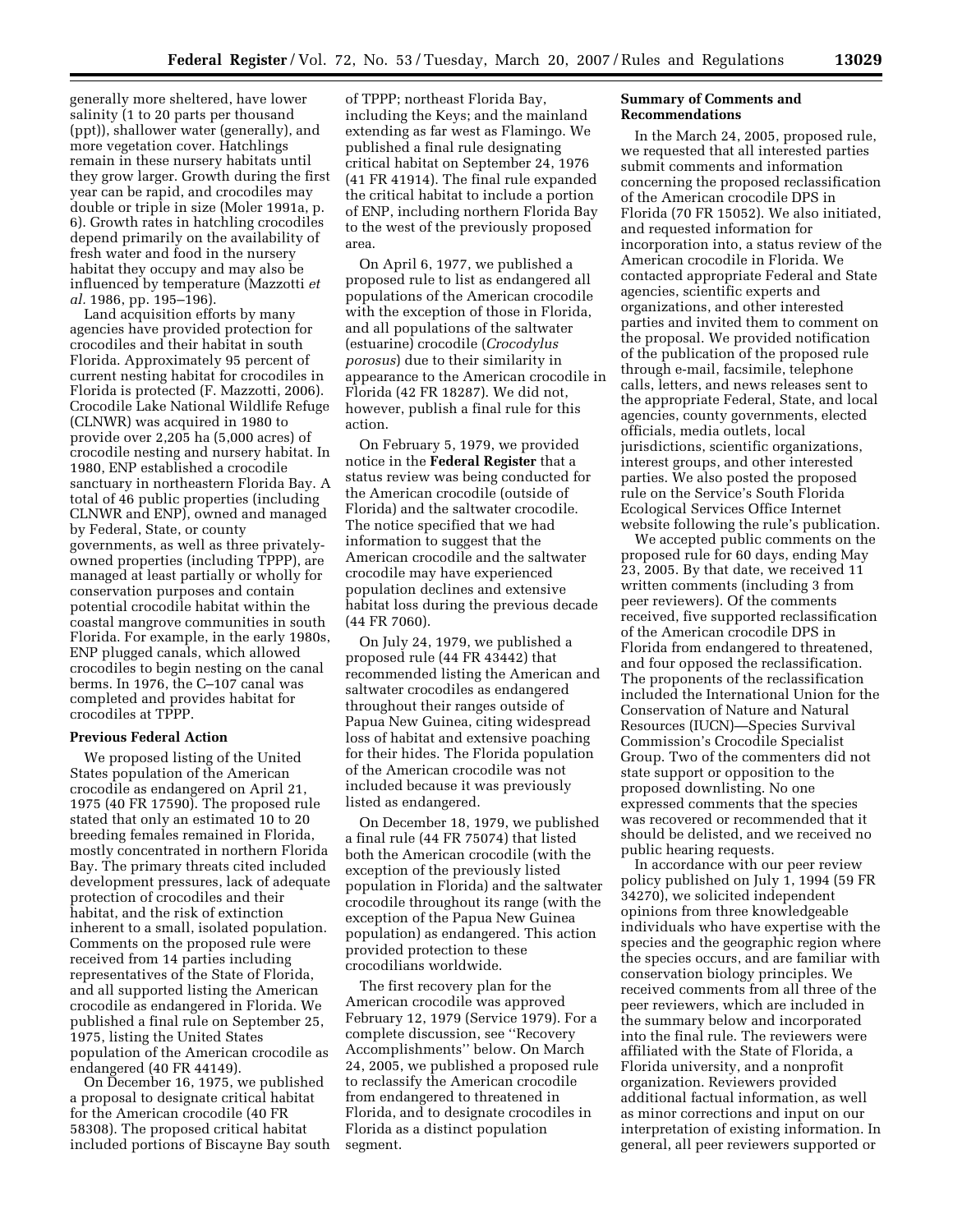generally more sheltered, have lower salinity (1 to 20 parts per thousand (ppt)), shallower water (generally), and more vegetation cover. Hatchlings remain in these nursery habitats until they grow larger. Growth during the first year can be rapid, and crocodiles may double or triple in size (Moler 1991a, p. 6). Growth rates in hatchling crocodiles depend primarily on the availability of fresh water and food in the nursery habitat they occupy and may also be influenced by temperature (Mazzotti *et al.* 1986, pp. 195–196).

Land acquisition efforts by many agencies have provided protection for crocodiles and their habitat in south Florida. Approximately 95 percent of current nesting habitat for crocodiles in Florida is protected (F. Mazzotti, 2006). Crocodile Lake National Wildlife Refuge (CLNWR) was acquired in 1980 to provide over 2,205 ha (5,000 acres) of crocodile nesting and nursery habitat. In 1980, ENP established a crocodile sanctuary in northeastern Florida Bay. A total of 46 public properties (including CLNWR and ENP), owned and managed by Federal, State, or county governments, as well as three privatelyowned properties (including TPPP), are managed at least partially or wholly for conservation purposes and contain potential crocodile habitat within the coastal mangrove communities in south Florida. For example, in the early 1980s, ENP plugged canals, which allowed crocodiles to begin nesting on the canal berms. In 1976, the C–107 canal was completed and provides habitat for crocodiles at TPPP.

# **Previous Federal Action**

We proposed listing of the United States population of the American crocodile as endangered on April 21, 1975 (40 FR 17590). The proposed rule stated that only an estimated 10 to 20 breeding females remained in Florida, mostly concentrated in northern Florida Bay. The primary threats cited included development pressures, lack of adequate protection of crocodiles and their habitat, and the risk of extinction inherent to a small, isolated population. Comments on the proposed rule were received from 14 parties including representatives of the State of Florida, and all supported listing the American crocodile as endangered in Florida. We published a final rule on September 25, 1975, listing the United States population of the American crocodile as endangered (40 FR 44149).

On December 16, 1975, we published a proposal to designate critical habitat for the American crocodile (40 FR 58308). The proposed critical habitat included portions of Biscayne Bay south

of TPPP; northeast Florida Bay, including the Keys; and the mainland extending as far west as Flamingo. We published a final rule designating critical habitat on September 24, 1976 (41 FR 41914). The final rule expanded the critical habitat to include a portion of ENP, including northern Florida Bay to the west of the previously proposed area.

On April 6, 1977, we published a proposed rule to list as endangered all populations of the American crocodile with the exception of those in Florida, and all populations of the saltwater (estuarine) crocodile (*Crocodylus porosus*) due to their similarity in appearance to the American crocodile in Florida (42 FR 18287). We did not, however, publish a final rule for this action.

On February 5, 1979, we provided notice in the **Federal Register** that a status review was being conducted for the American crocodile (outside of Florida) and the saltwater crocodile. The notice specified that we had information to suggest that the American crocodile and the saltwater crocodile may have experienced population declines and extensive habitat loss during the previous decade (44 FR 7060).

On July 24, 1979, we published a proposed rule (44 FR 43442) that recommended listing the American and saltwater crocodiles as endangered throughout their ranges outside of Papua New Guinea, citing widespread loss of habitat and extensive poaching for their hides. The Florida population of the American crocodile was not included because it was previously listed as endangered.

On December 18, 1979, we published a final rule (44 FR 75074) that listed both the American crocodile (with the exception of the previously listed population in Florida) and the saltwater crocodile throughout its range (with the exception of the Papua New Guinea population) as endangered. This action provided protection to these crocodilians worldwide.

The first recovery plan for the American crocodile was approved February 12, 1979 (Service 1979). For a complete discussion, see ''Recovery Accomplishments'' below. On March 24, 2005, we published a proposed rule to reclassify the American crocodile from endangered to threatened in Florida, and to designate crocodiles in Florida as a distinct population segment.

### **Summary of Comments and Recommendations**

In the March 24, 2005, proposed rule, we requested that all interested parties submit comments and information concerning the proposed reclassification of the American crocodile DPS in Florida (70 FR 15052). We also initiated, and requested information for incorporation into, a status review of the American crocodile in Florida. We contacted appropriate Federal and State agencies, scientific experts and organizations, and other interested parties and invited them to comment on the proposal. We provided notification of the publication of the proposed rule through e-mail, facsimile, telephone calls, letters, and news releases sent to the appropriate Federal, State, and local agencies, county governments, elected officials, media outlets, local jurisdictions, scientific organizations, interest groups, and other interested parties. We also posted the proposed rule on the Service's South Florida Ecological Services Office Internet website following the rule's publication.

We accepted public comments on the proposed rule for 60 days, ending May 23, 2005. By that date, we received 11 written comments (including 3 from peer reviewers). Of the comments received, five supported reclassification of the American crocodile DPS in Florida from endangered to threatened, and four opposed the reclassification. The proponents of the reclassification included the International Union for the Conservation of Nature and Natural Resources (IUCN)—Species Survival Commission's Crocodile Specialist Group. Two of the commenters did not state support or opposition to the proposed downlisting. No one expressed comments that the species was recovered or recommended that it should be delisted, and we received no public hearing requests.

In accordance with our peer review policy published on July 1, 1994 (59 FR 34270), we solicited independent opinions from three knowledgeable individuals who have expertise with the species and the geographic region where the species occurs, and are familiar with conservation biology principles. We received comments from all three of the peer reviewers, which are included in the summary below and incorporated into the final rule. The reviewers were affiliated with the State of Florida, a Florida university, and a nonprofit organization. Reviewers provided additional factual information, as well as minor corrections and input on our interpretation of existing information. In general, all peer reviewers supported or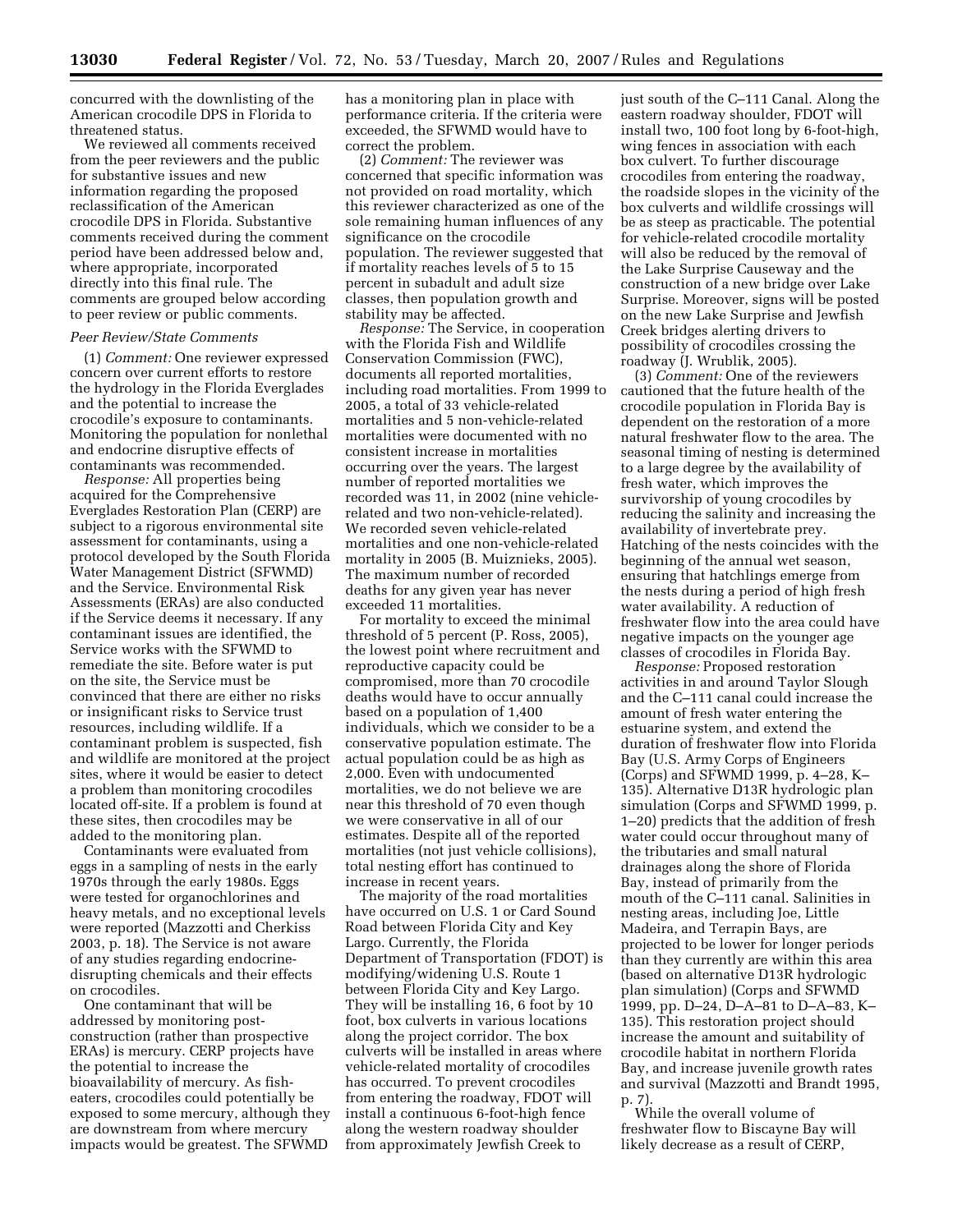concurred with the downlisting of the American crocodile DPS in Florida to threatened status.

We reviewed all comments received from the peer reviewers and the public for substantive issues and new information regarding the proposed reclassification of the American crocodile DPS in Florida. Substantive comments received during the comment period have been addressed below and, where appropriate, incorporated directly into this final rule. The comments are grouped below according to peer review or public comments.

#### *Peer Review/State Comments*

(1) *Comment:* One reviewer expressed concern over current efforts to restore the hydrology in the Florida Everglades and the potential to increase the crocodile's exposure to contaminants. Monitoring the population for nonlethal and endocrine disruptive effects of contaminants was recommended.

*Response:* All properties being acquired for the Comprehensive Everglades Restoration Plan (CERP) are subject to a rigorous environmental site assessment for contaminants, using a protocol developed by the South Florida Water Management District (SFWMD) and the Service. Environmental Risk Assessments (ERAs) are also conducted if the Service deems it necessary. If any contaminant issues are identified, the Service works with the SFWMD to remediate the site. Before water is put on the site, the Service must be convinced that there are either no risks or insignificant risks to Service trust resources, including wildlife. If a contaminant problem is suspected, fish and wildlife are monitored at the project sites, where it would be easier to detect a problem than monitoring crocodiles located off-site. If a problem is found at these sites, then crocodiles may be added to the monitoring plan.

Contaminants were evaluated from eggs in a sampling of nests in the early 1970s through the early 1980s. Eggs were tested for organochlorines and heavy metals, and no exceptional levels were reported (Mazzotti and Cherkiss 2003, p. 18). The Service is not aware of any studies regarding endocrinedisrupting chemicals and their effects on crocodiles.

One contaminant that will be addressed by monitoring postconstruction (rather than prospective ERAs) is mercury. CERP projects have the potential to increase the bioavailability of mercury. As fisheaters, crocodiles could potentially be exposed to some mercury, although they are downstream from where mercury impacts would be greatest. The SFWMD

has a monitoring plan in place with performance criteria. If the criteria were exceeded, the SFWMD would have to correct the problem.

(2) *Comment:* The reviewer was concerned that specific information was not provided on road mortality, which this reviewer characterized as one of the sole remaining human influences of any significance on the crocodile population. The reviewer suggested that if mortality reaches levels of 5 to 15 percent in subadult and adult size classes, then population growth and stability may be affected.

*Response:* The Service, in cooperation with the Florida Fish and Wildlife Conservation Commission (FWC), documents all reported mortalities, including road mortalities. From 1999 to 2005, a total of 33 vehicle-related mortalities and 5 non-vehicle-related mortalities were documented with no consistent increase in mortalities occurring over the years. The largest number of reported mortalities we recorded was 11, in 2002 (nine vehiclerelated and two non-vehicle-related). We recorded seven vehicle-related mortalities and one non-vehicle-related mortality in 2005 (B. Muiznieks, 2005). The maximum number of recorded deaths for any given year has never exceeded 11 mortalities.

For mortality to exceed the minimal threshold of 5 percent (P. Ross, 2005), the lowest point where recruitment and reproductive capacity could be compromised, more than 70 crocodile deaths would have to occur annually based on a population of 1,400 individuals, which we consider to be a conservative population estimate. The actual population could be as high as 2,000. Even with undocumented mortalities, we do not believe we are near this threshold of 70 even though we were conservative in all of our estimates. Despite all of the reported mortalities (not just vehicle collisions), total nesting effort has continued to increase in recent years.

The majority of the road mortalities have occurred on U.S. 1 or Card Sound Road between Florida City and Key Largo. Currently, the Florida Department of Transportation (FDOT) is modifying/widening U.S. Route 1 between Florida City and Key Largo. They will be installing 16, 6 foot by 10 foot, box culverts in various locations along the project corridor. The box culverts will be installed in areas where vehicle-related mortality of crocodiles has occurred. To prevent crocodiles from entering the roadway, FDOT will install a continuous 6-foot-high fence along the western roadway shoulder from approximately Jewfish Creek to

just south of the C–111 Canal. Along the eastern roadway shoulder, FDOT will install two, 100 foot long by 6-foot-high, wing fences in association with each box culvert. To further discourage crocodiles from entering the roadway, the roadside slopes in the vicinity of the box culverts and wildlife crossings will be as steep as practicable. The potential for vehicle-related crocodile mortality will also be reduced by the removal of the Lake Surprise Causeway and the construction of a new bridge over Lake Surprise. Moreover, signs will be posted on the new Lake Surprise and Jewfish Creek bridges alerting drivers to possibility of crocodiles crossing the roadway (J. Wrublik, 2005).

(3) *Comment:* One of the reviewers cautioned that the future health of the crocodile population in Florida Bay is dependent on the restoration of a more natural freshwater flow to the area. The seasonal timing of nesting is determined to a large degree by the availability of fresh water, which improves the survivorship of young crocodiles by reducing the salinity and increasing the availability of invertebrate prey. Hatching of the nests coincides with the beginning of the annual wet season, ensuring that hatchlings emerge from the nests during a period of high fresh water availability. A reduction of freshwater flow into the area could have negative impacts on the younger age classes of crocodiles in Florida Bay.

*Response:* Proposed restoration activities in and around Taylor Slough and the C–111 canal could increase the amount of fresh water entering the estuarine system, and extend the duration of freshwater flow into Florida Bay (U.S. Army Corps of Engineers (Corps) and SFWMD 1999, p. 4–28, K– 135). Alternative D13R hydrologic plan simulation (Corps and SFWMD 1999, p. 1–20) predicts that the addition of fresh water could occur throughout many of the tributaries and small natural drainages along the shore of Florida Bay, instead of primarily from the mouth of the C–111 canal. Salinities in nesting areas, including Joe, Little Madeira, and Terrapin Bays, are projected to be lower for longer periods than they currently are within this area (based on alternative D13R hydrologic plan simulation) (Corps and SFWMD 1999, pp. D–24, D–A–81 to D–A–83, K– 135). This restoration project should increase the amount and suitability of crocodile habitat in northern Florida Bay, and increase juvenile growth rates and survival (Mazzotti and Brandt 1995, p. 7).

While the overall volume of freshwater flow to Biscayne Bay will likely decrease as a result of CERP,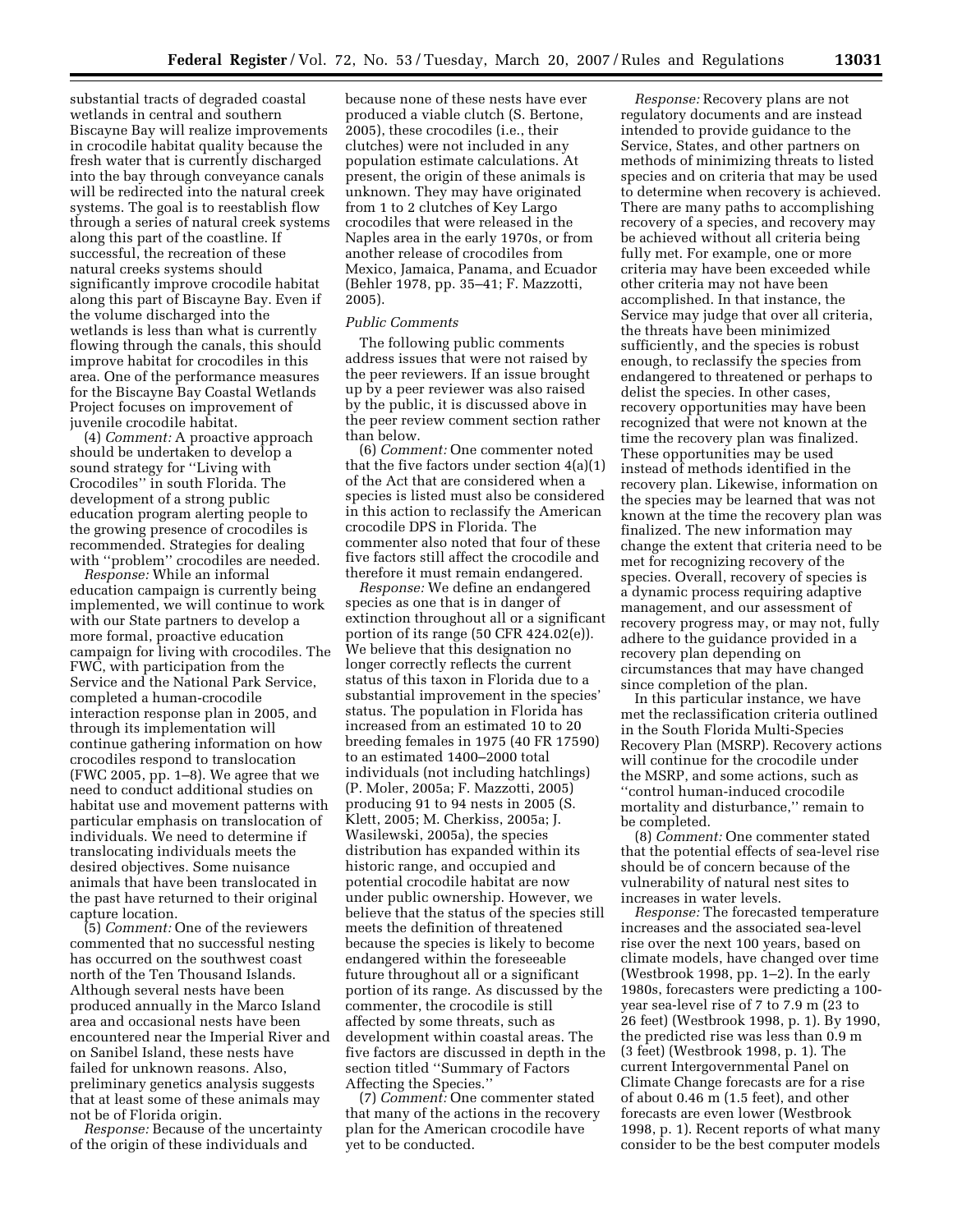substantial tracts of degraded coastal wetlands in central and southern Biscayne Bay will realize improvements in crocodile habitat quality because the fresh water that is currently discharged into the bay through conveyance canals will be redirected into the natural creek systems. The goal is to reestablish flow through a series of natural creek systems along this part of the coastline. If successful, the recreation of these natural creeks systems should significantly improve crocodile habitat along this part of Biscayne Bay. Even if the volume discharged into the wetlands is less than what is currently flowing through the canals, this should improve habitat for crocodiles in this area. One of the performance measures for the Biscayne Bay Coastal Wetlands Project focuses on improvement of juvenile crocodile habitat.

(4) *Comment:* A proactive approach should be undertaken to develop a sound strategy for ''Living with Crocodiles'' in south Florida. The development of a strong public education program alerting people to the growing presence of crocodiles is recommended. Strategies for dealing with "problem" crocodiles are needed.

*Response:* While an informal education campaign is currently being implemented, we will continue to work with our State partners to develop a more formal, proactive education campaign for living with crocodiles. The FWC, with participation from the Service and the National Park Service, completed a human-crocodile interaction response plan in 2005, and through its implementation will continue gathering information on how crocodiles respond to translocation (FWC 2005, pp. 1–8). We agree that we need to conduct additional studies on habitat use and movement patterns with particular emphasis on translocation of individuals. We need to determine if translocating individuals meets the desired objectives. Some nuisance animals that have been translocated in the past have returned to their original capture location.

(5) *Comment:* One of the reviewers commented that no successful nesting has occurred on the southwest coast north of the Ten Thousand Islands. Although several nests have been produced annually in the Marco Island area and occasional nests have been encountered near the Imperial River and on Sanibel Island, these nests have failed for unknown reasons. Also, preliminary genetics analysis suggests that at least some of these animals may not be of Florida origin.

*Response:* Because of the uncertainty of the origin of these individuals and

because none of these nests have ever produced a viable clutch (S. Bertone, 2005), these crocodiles (i.e., their clutches) were not included in any population estimate calculations. At present, the origin of these animals is unknown. They may have originated from 1 to 2 clutches of Key Largo crocodiles that were released in the Naples area in the early 1970s, or from another release of crocodiles from Mexico, Jamaica, Panama, and Ecuador (Behler 1978, pp. 35–41; F. Mazzotti, 2005).

### *Public Comments*

The following public comments address issues that were not raised by the peer reviewers. If an issue brought up by a peer reviewer was also raised by the public, it is discussed above in the peer review comment section rather than below.

(6) *Comment:* One commenter noted that the five factors under section 4(a)(1) of the Act that are considered when a species is listed must also be considered in this action to reclassify the American crocodile DPS in Florida. The commenter also noted that four of these five factors still affect the crocodile and therefore it must remain endangered.

*Response:* We define an endangered species as one that is in danger of extinction throughout all or a significant portion of its range (50 CFR 424.02(e)). We believe that this designation no longer correctly reflects the current status of this taxon in Florida due to a substantial improvement in the species' status. The population in Florida has increased from an estimated 10 to 20 breeding females in 1975 (40 FR 17590) to an estimated 1400–2000 total individuals (not including hatchlings) (P. Moler, 2005a; F. Mazzotti, 2005) producing 91 to 94 nests in 2005 (S. Klett, 2005; M. Cherkiss, 2005a; J. Wasilewski, 2005a), the species distribution has expanded within its historic range, and occupied and potential crocodile habitat are now under public ownership. However, we believe that the status of the species still meets the definition of threatened because the species is likely to become endangered within the foreseeable future throughout all or a significant portion of its range. As discussed by the commenter, the crocodile is still affected by some threats, such as development within coastal areas. The five factors are discussed in depth in the section titled ''Summary of Factors Affecting the Species.''

(7) *Comment:* One commenter stated that many of the actions in the recovery plan for the American crocodile have yet to be conducted.

*Response:* Recovery plans are not regulatory documents and are instead intended to provide guidance to the Service, States, and other partners on methods of minimizing threats to listed species and on criteria that may be used to determine when recovery is achieved. There are many paths to accomplishing recovery of a species, and recovery may be achieved without all criteria being fully met. For example, one or more criteria may have been exceeded while other criteria may not have been accomplished. In that instance, the Service may judge that over all criteria, the threats have been minimized sufficiently, and the species is robust enough, to reclassify the species from endangered to threatened or perhaps to delist the species. In other cases, recovery opportunities may have been recognized that were not known at the time the recovery plan was finalized. These opportunities may be used instead of methods identified in the recovery plan. Likewise, information on the species may be learned that was not known at the time the recovery plan was finalized. The new information may change the extent that criteria need to be met for recognizing recovery of the species. Overall, recovery of species is a dynamic process requiring adaptive management, and our assessment of recovery progress may, or may not, fully adhere to the guidance provided in a recovery plan depending on circumstances that may have changed since completion of the plan.

In this particular instance, we have met the reclassification criteria outlined in the South Florida Multi-Species Recovery Plan (MSRP). Recovery actions will continue for the crocodile under the MSRP, and some actions, such as ''control human-induced crocodile mortality and disturbance,'' remain to be completed.

(8) *Comment:* One commenter stated that the potential effects of sea-level rise should be of concern because of the vulnerability of natural nest sites to increases in water levels.

*Response:* The forecasted temperature increases and the associated sea-level rise over the next 100 years, based on climate models, have changed over time (Westbrook 1998, pp. 1–2). In the early 1980s, forecasters were predicting a 100 year sea-level rise of 7 to 7.9 m (23 to 26 feet) (Westbrook 1998, p. 1). By 1990, the predicted rise was less than 0.9 m (3 feet) (Westbrook 1998, p. 1). The current Intergovernmental Panel on Climate Change forecasts are for a rise of about 0.46 m (1.5 feet), and other forecasts are even lower (Westbrook 1998, p. 1). Recent reports of what many consider to be the best computer models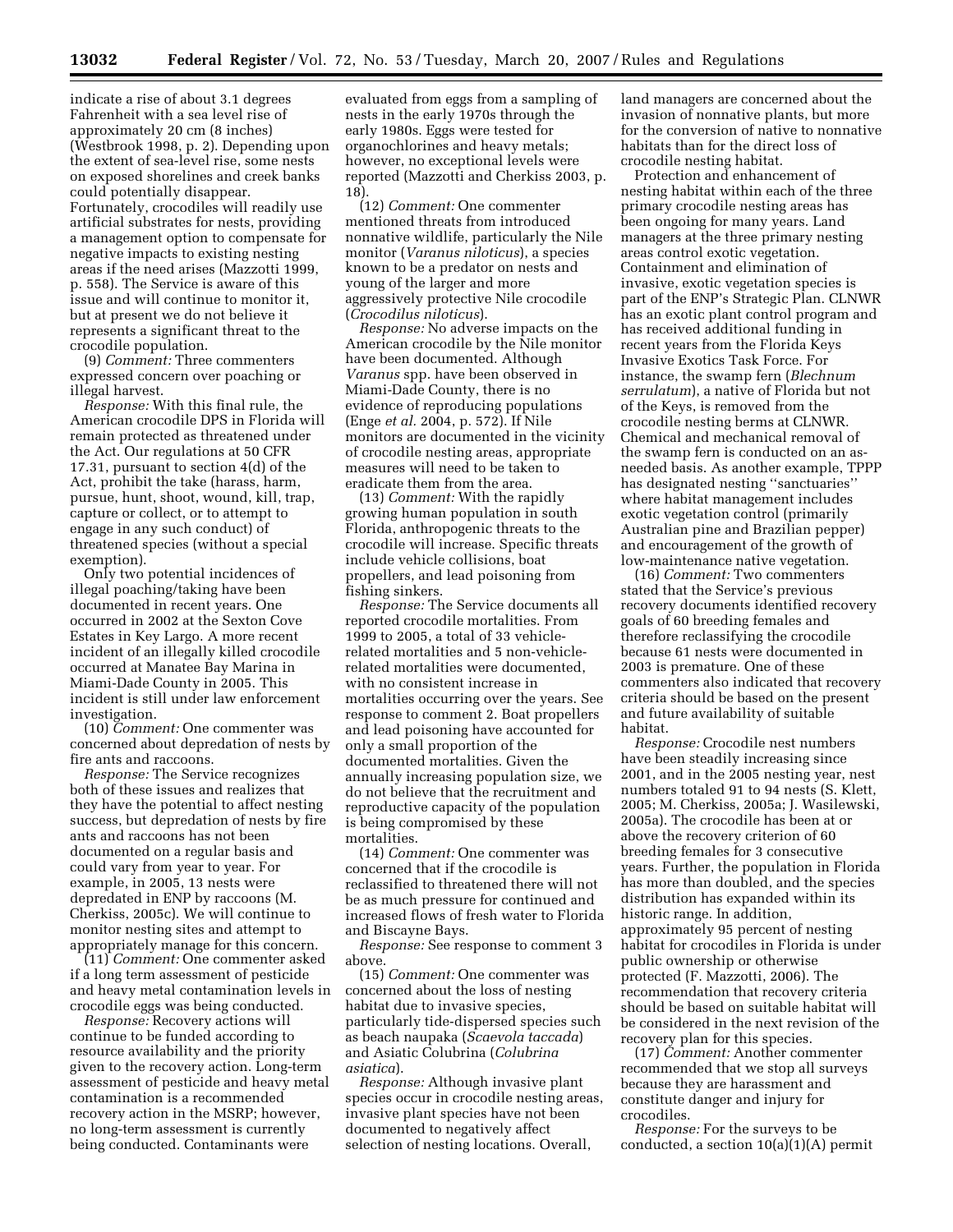indicate a rise of about 3.1 degrees Fahrenheit with a sea level rise of approximately 20 cm (8 inches) (Westbrook 1998, p. 2). Depending upon the extent of sea-level rise, some nests on exposed shorelines and creek banks could potentially disappear. Fortunately, crocodiles will readily use artificial substrates for nests, providing a management option to compensate for negative impacts to existing nesting areas if the need arises (Mazzotti 1999, p. 558). The Service is aware of this issue and will continue to monitor it, but at present we do not believe it represents a significant threat to the crocodile population.

(9) *Comment:* Three commenters expressed concern over poaching or illegal harvest.

*Response:* With this final rule, the American crocodile DPS in Florida will remain protected as threatened under the Act. Our regulations at 50 CFR 17.31, pursuant to section 4(d) of the Act, prohibit the take (harass, harm, pursue, hunt, shoot, wound, kill, trap, capture or collect, or to attempt to engage in any such conduct) of threatened species (without a special exemption).

Only two potential incidences of illegal poaching/taking have been documented in recent years. One occurred in 2002 at the Sexton Cove Estates in Key Largo. A more recent incident of an illegally killed crocodile occurred at Manatee Bay Marina in Miami-Dade County in 2005. This incident is still under law enforcement investigation.

(10) *Comment:* One commenter was concerned about depredation of nests by fire ants and raccoons.

*Response:* The Service recognizes both of these issues and realizes that they have the potential to affect nesting success, but depredation of nests by fire ants and raccoons has not been documented on a regular basis and could vary from year to year. For example, in 2005, 13 nests were depredated in ENP by raccoons (M. Cherkiss, 2005c). We will continue to monitor nesting sites and attempt to appropriately manage for this concern.

(11) *Comment:* One commenter asked if a long term assessment of pesticide and heavy metal contamination levels in crocodile eggs was being conducted.

*Response:* Recovery actions will continue to be funded according to resource availability and the priority given to the recovery action. Long-term assessment of pesticide and heavy metal contamination is a recommended recovery action in the MSRP; however, no long-term assessment is currently being conducted. Contaminants were

evaluated from eggs from a sampling of nests in the early 1970s through the early 1980s. Eggs were tested for organochlorines and heavy metals; however, no exceptional levels were reported (Mazzotti and Cherkiss 2003, p. 18).

(12) *Comment:* One commenter mentioned threats from introduced nonnative wildlife, particularly the Nile monitor (*Varanus niloticus*), a species known to be a predator on nests and young of the larger and more aggressively protective Nile crocodile (*Crocodilus niloticus*).

*Response:* No adverse impacts on the American crocodile by the Nile monitor have been documented. Although *Varanus* spp. have been observed in Miami-Dade County, there is no evidence of reproducing populations (Enge *et al.* 2004, p. 572). If Nile monitors are documented in the vicinity of crocodile nesting areas, appropriate measures will need to be taken to eradicate them from the area.

(13) *Comment:* With the rapidly growing human population in south Florida, anthropogenic threats to the crocodile will increase. Specific threats include vehicle collisions, boat propellers, and lead poisoning from fishing sinkers.

*Response:* The Service documents all reported crocodile mortalities. From 1999 to 2005, a total of 33 vehiclerelated mortalities and 5 non-vehiclerelated mortalities were documented, with no consistent increase in mortalities occurring over the years. See response to comment 2. Boat propellers and lead poisoning have accounted for only a small proportion of the documented mortalities. Given the annually increasing population size, we do not believe that the recruitment and reproductive capacity of the population is being compromised by these mortalities.

(14) *Comment:* One commenter was concerned that if the crocodile is reclassified to threatened there will not be as much pressure for continued and increased flows of fresh water to Florida and Biscayne Bays.

*Response:* See response to comment 3 above.

(15) *Comment:* One commenter was concerned about the loss of nesting habitat due to invasive species, particularly tide-dispersed species such as beach naupaka (*Scaevola taccada*) and Asiatic Colubrina (*Colubrina asiatica*).

*Response:* Although invasive plant species occur in crocodile nesting areas, invasive plant species have not been documented to negatively affect selection of nesting locations. Overall,

land managers are concerned about the invasion of nonnative plants, but more for the conversion of native to nonnative habitats than for the direct loss of crocodile nesting habitat.

Protection and enhancement of nesting habitat within each of the three primary crocodile nesting areas has been ongoing for many years. Land managers at the three primary nesting areas control exotic vegetation. Containment and elimination of invasive, exotic vegetation species is part of the ENP's Strategic Plan. CLNWR has an exotic plant control program and has received additional funding in recent years from the Florida Keys Invasive Exotics Task Force. For instance, the swamp fern (*Blechnum serrulatum*), a native of Florida but not of the Keys, is removed from the crocodile nesting berms at CLNWR. Chemical and mechanical removal of the swamp fern is conducted on an asneeded basis. As another example, TPPP has designated nesting ''sanctuaries'' where habitat management includes exotic vegetation control (primarily Australian pine and Brazilian pepper) and encouragement of the growth of low-maintenance native vegetation.

(16) *Comment:* Two commenters stated that the Service's previous recovery documents identified recovery goals of 60 breeding females and therefore reclassifying the crocodile because 61 nests were documented in 2003 is premature. One of these commenters also indicated that recovery criteria should be based on the present and future availability of suitable habitat.

*Response:* Crocodile nest numbers have been steadily increasing since 2001, and in the 2005 nesting year, nest numbers totaled 91 to 94 nests (S. Klett, 2005; M. Cherkiss, 2005a; J. Wasilewski, 2005a). The crocodile has been at or above the recovery criterion of 60 breeding females for 3 consecutive years. Further, the population in Florida has more than doubled, and the species distribution has expanded within its historic range. In addition, approximately 95 percent of nesting habitat for crocodiles in Florida is under public ownership or otherwise protected (F. Mazzotti, 2006). The recommendation that recovery criteria should be based on suitable habitat will be considered in the next revision of the recovery plan for this species.

(17) *Comment:* Another commenter recommended that we stop all surveys because they are harassment and constitute danger and injury for crocodiles.

*Response:* For the surveys to be conducted, a section 10(a)(1)(A) permit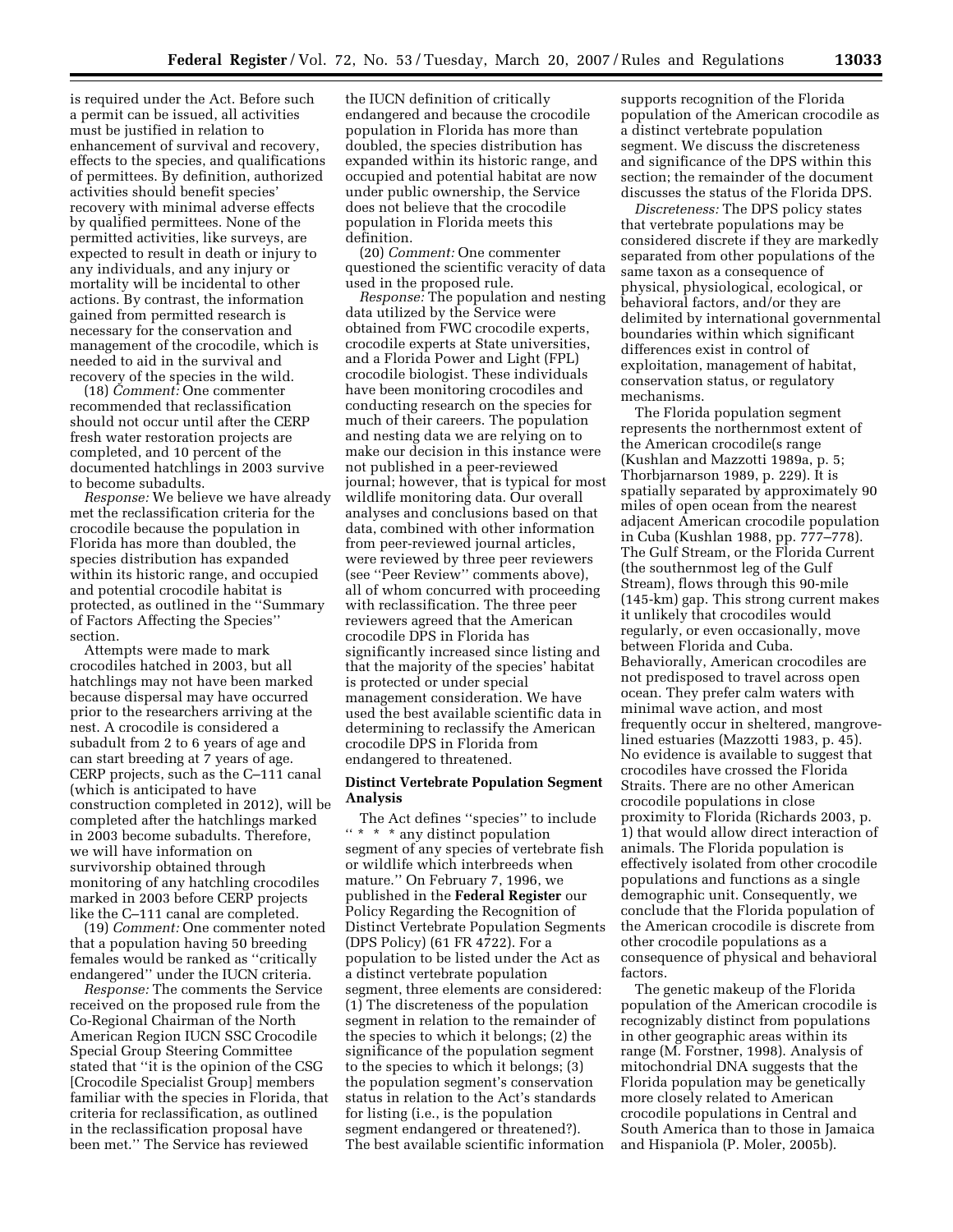is required under the Act. Before such a permit can be issued, all activities must be justified in relation to enhancement of survival and recovery, effects to the species, and qualifications of permittees. By definition, authorized activities should benefit species' recovery with minimal adverse effects by qualified permittees. None of the permitted activities, like surveys, are expected to result in death or injury to any individuals, and any injury or mortality will be incidental to other actions. By contrast, the information gained from permitted research is necessary for the conservation and management of the crocodile, which is needed to aid in the survival and recovery of the species in the wild.

(18) *Comment:* One commenter recommended that reclassification should not occur until after the CERP fresh water restoration projects are completed, and 10 percent of the documented hatchlings in 2003 survive to become subadults.

*Response:* We believe we have already met the reclassification criteria for the crocodile because the population in Florida has more than doubled, the species distribution has expanded within its historic range, and occupied and potential crocodile habitat is protected, as outlined in the ''Summary of Factors Affecting the Species'' section.

Attempts were made to mark crocodiles hatched in 2003, but all hatchlings may not have been marked because dispersal may have occurred prior to the researchers arriving at the nest. A crocodile is considered a subadult from 2 to 6 years of age and can start breeding at 7 years of age. CERP projects, such as the C–111 canal (which is anticipated to have construction completed in 2012), will be completed after the hatchlings marked in 2003 become subadults. Therefore, we will have information on survivorship obtained through monitoring of any hatchling crocodiles marked in 2003 before CERP projects like the C–111 canal are completed.

(19) *Comment:* One commenter noted that a population having 50 breeding females would be ranked as ''critically endangered'' under the IUCN criteria.

*Response:* The comments the Service received on the proposed rule from the Co-Regional Chairman of the North American Region IUCN SSC Crocodile Special Group Steering Committee stated that ''it is the opinion of the CSG [Crocodile Specialist Group] members familiar with the species in Florida, that criteria for reclassification, as outlined in the reclassification proposal have been met.'' The Service has reviewed

the IUCN definition of critically endangered and because the crocodile population in Florida has more than doubled, the species distribution has expanded within its historic range, and occupied and potential habitat are now under public ownership, the Service does not believe that the crocodile population in Florida meets this definition.

(20) *Comment:* One commenter questioned the scientific veracity of data used in the proposed rule.

*Response:* The population and nesting data utilized by the Service were obtained from FWC crocodile experts, crocodile experts at State universities, and a Florida Power and Light (FPL) crocodile biologist. These individuals have been monitoring crocodiles and conducting research on the species for much of their careers. The population and nesting data we are relying on to make our decision in this instance were not published in a peer-reviewed journal; however, that is typical for most wildlife monitoring data. Our overall analyses and conclusions based on that data, combined with other information from peer-reviewed journal articles, were reviewed by three peer reviewers (see ''Peer Review'' comments above), all of whom concurred with proceeding with reclassification. The three peer reviewers agreed that the American crocodile DPS in Florida has significantly increased since listing and that the majority of the species' habitat is protected or under special management consideration. We have used the best available scientific data in determining to reclassify the American crocodile DPS in Florida from endangered to threatened.

### **Distinct Vertebrate Population Segment Analysis**

The Act defines ''species'' to include '' \* \* \* any distinct population segment of any species of vertebrate fish or wildlife which interbreeds when mature.'' On February 7, 1996, we published in the **Federal Register** our Policy Regarding the Recognition of Distinct Vertebrate Population Segments (DPS Policy) (61 FR 4722). For a population to be listed under the Act as a distinct vertebrate population segment, three elements are considered: (1) The discreteness of the population segment in relation to the remainder of the species to which it belongs; (2) the significance of the population segment to the species to which it belongs; (3) the population segment's conservation status in relation to the Act's standards for listing (i.e., is the population segment endangered or threatened?). The best available scientific information

supports recognition of the Florida population of the American crocodile as a distinct vertebrate population segment. We discuss the discreteness and significance of the DPS within this section; the remainder of the document discusses the status of the Florida DPS.

*Discreteness:* The DPS policy states that vertebrate populations may be considered discrete if they are markedly separated from other populations of the same taxon as a consequence of physical, physiological, ecological, or behavioral factors, and/or they are delimited by international governmental boundaries within which significant differences exist in control of exploitation, management of habitat, conservation status, or regulatory mechanisms.

The Florida population segment represents the northernmost extent of the American crocodile(s range (Kushlan and Mazzotti 1989a, p. 5; Thorbjarnarson 1989, p. 229). It is spatially separated by approximately 90 miles of open ocean from the nearest adjacent American crocodile population in Cuba (Kushlan 1988, pp. 777–778). The Gulf Stream, or the Florida Current (the southernmost leg of the Gulf Stream), flows through this 90-mile (145-km) gap. This strong current makes it unlikely that crocodiles would regularly, or even occasionally, move between Florida and Cuba. Behaviorally, American crocodiles are not predisposed to travel across open ocean. They prefer calm waters with minimal wave action, and most frequently occur in sheltered, mangrovelined estuaries (Mazzotti 1983, p. 45). No evidence is available to suggest that crocodiles have crossed the Florida Straits. There are no other American crocodile populations in close proximity to Florida (Richards 2003, p. 1) that would allow direct interaction of animals. The Florida population is effectively isolated from other crocodile populations and functions as a single demographic unit. Consequently, we conclude that the Florida population of the American crocodile is discrete from other crocodile populations as a consequence of physical and behavioral factors.

The genetic makeup of the Florida population of the American crocodile is recognizably distinct from populations in other geographic areas within its range (M. Forstner, 1998). Analysis of mitochondrial DNA suggests that the Florida population may be genetically more closely related to American crocodile populations in Central and South America than to those in Jamaica and Hispaniola (P. Moler, 2005b).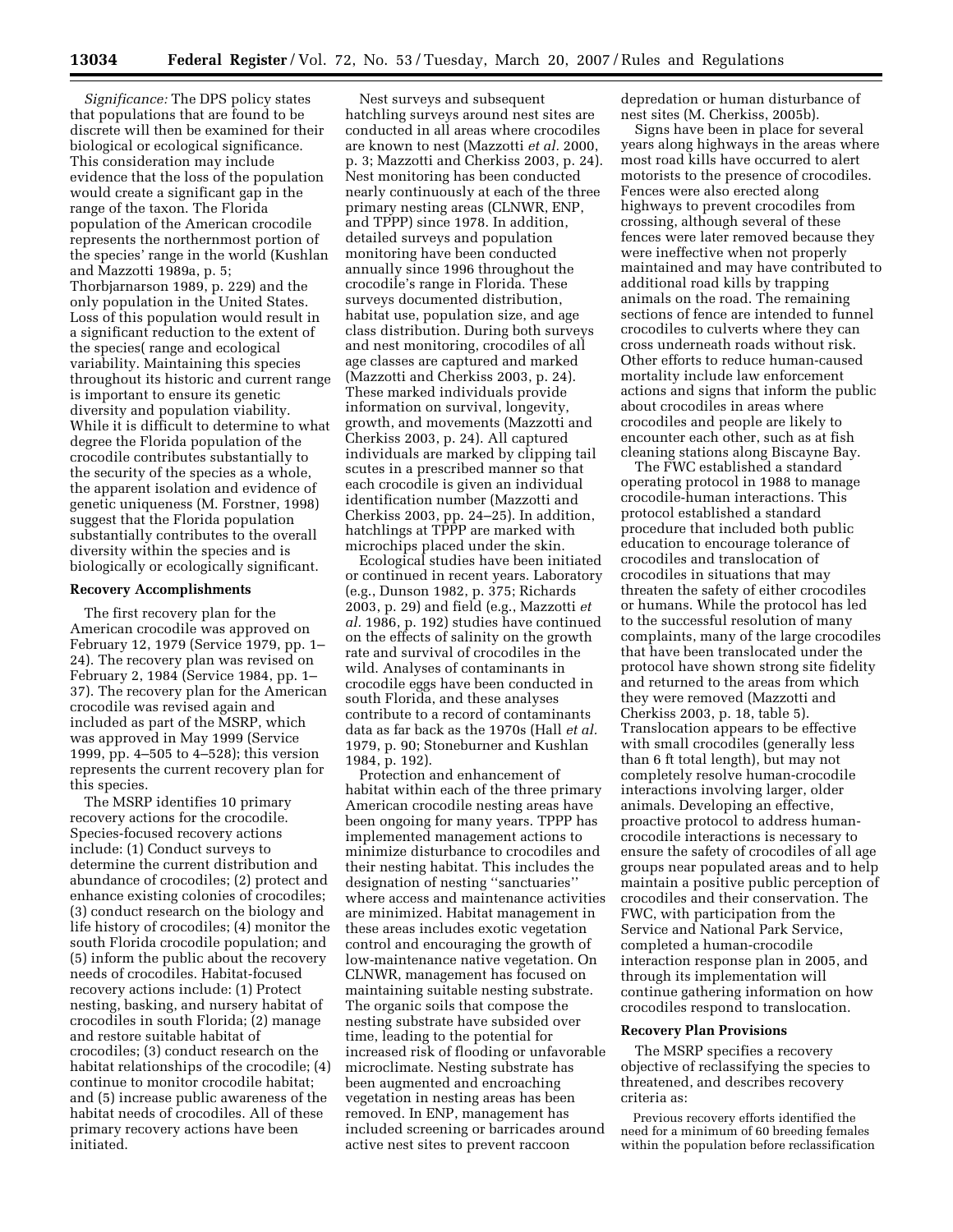*Significance:* The DPS policy states that populations that are found to be discrete will then be examined for their biological or ecological significance. This consideration may include evidence that the loss of the population would create a significant gap in the range of the taxon. The Florida population of the American crocodile represents the northernmost portion of the species' range in the world (Kushlan and Mazzotti 1989a, p. 5; Thorbjarnarson 1989, p. 229) and the only population in the United States. Loss of this population would result in a significant reduction to the extent of the species( range and ecological variability. Maintaining this species throughout its historic and current range is important to ensure its genetic diversity and population viability. While it is difficult to determine to what degree the Florida population of the crocodile contributes substantially to the security of the species as a whole, the apparent isolation and evidence of genetic uniqueness (M. Forstner, 1998) suggest that the Florida population substantially contributes to the overall diversity within the species and is biologically or ecologically significant.

#### **Recovery Accomplishments**

The first recovery plan for the American crocodile was approved on February 12, 1979 (Service 1979, pp. 1– 24). The recovery plan was revised on February 2, 1984 (Service 1984, pp. 1– 37). The recovery plan for the American crocodile was revised again and included as part of the MSRP, which was approved in May 1999 (Service 1999, pp. 4–505 to 4–528); this version represents the current recovery plan for this species.

The MSRP identifies 10 primary recovery actions for the crocodile. Species-focused recovery actions include: (1) Conduct surveys to determine the current distribution and abundance of crocodiles; (2) protect and enhance existing colonies of crocodiles; (3) conduct research on the biology and life history of crocodiles; (4) monitor the south Florida crocodile population; and (5) inform the public about the recovery needs of crocodiles. Habitat-focused recovery actions include: (1) Protect nesting, basking, and nursery habitat of crocodiles in south Florida; (2) manage and restore suitable habitat of crocodiles; (3) conduct research on the habitat relationships of the crocodile; (4) continue to monitor crocodile habitat; and (5) increase public awareness of the habitat needs of crocodiles. All of these primary recovery actions have been initiated.

Nest surveys and subsequent hatchling surveys around nest sites are conducted in all areas where crocodiles are known to nest (Mazzotti *et al.* 2000, p. 3; Mazzotti and Cherkiss 2003, p. 24). Nest monitoring has been conducted nearly continuously at each of the three primary nesting areas (CLNWR, ENP, and TPPP) since 1978. In addition, detailed surveys and population monitoring have been conducted annually since 1996 throughout the crocodile's range in Florida. These surveys documented distribution, habitat use, population size, and age class distribution. During both surveys and nest monitoring, crocodiles of all age classes are captured and marked (Mazzotti and Cherkiss 2003, p. 24). These marked individuals provide information on survival, longevity, growth, and movements (Mazzotti and Cherkiss 2003, p. 24). All captured individuals are marked by clipping tail scutes in a prescribed manner so that each crocodile is given an individual identification number (Mazzotti and Cherkiss 2003, pp. 24–25). In addition, hatchlings at TPPP are marked with microchips placed under the skin.

Ecological studies have been initiated or continued in recent years. Laboratory (e.g., Dunson 1982, p. 375; Richards 2003, p. 29) and field (e.g., Mazzotti *et al.* 1986, p. 192) studies have continued on the effects of salinity on the growth rate and survival of crocodiles in the wild. Analyses of contaminants in crocodile eggs have been conducted in south Florida, and these analyses contribute to a record of contaminants data as far back as the 1970s (Hall *et al.*  1979, p. 90; Stoneburner and Kushlan 1984, p. 192).

Protection and enhancement of habitat within each of the three primary American crocodile nesting areas have been ongoing for many years. TPPP has implemented management actions to minimize disturbance to crocodiles and their nesting habitat. This includes the designation of nesting ''sanctuaries'' where access and maintenance activities are minimized. Habitat management in these areas includes exotic vegetation control and encouraging the growth of low-maintenance native vegetation. On CLNWR, management has focused on maintaining suitable nesting substrate. The organic soils that compose the nesting substrate have subsided over time, leading to the potential for increased risk of flooding or unfavorable microclimate. Nesting substrate has been augmented and encroaching vegetation in nesting areas has been removed. In ENP, management has included screening or barricades around active nest sites to prevent raccoon

depredation or human disturbance of nest sites (M. Cherkiss, 2005b).

Signs have been in place for several years along highways in the areas where most road kills have occurred to alert motorists to the presence of crocodiles. Fences were also erected along highways to prevent crocodiles from crossing, although several of these fences were later removed because they were ineffective when not properly maintained and may have contributed to additional road kills by trapping animals on the road. The remaining sections of fence are intended to funnel crocodiles to culverts where they can cross underneath roads without risk. Other efforts to reduce human-caused mortality include law enforcement actions and signs that inform the public about crocodiles in areas where crocodiles and people are likely to encounter each other, such as at fish cleaning stations along Biscayne Bay.

The FWC established a standard operating protocol in 1988 to manage crocodile-human interactions. This protocol established a standard procedure that included both public education to encourage tolerance of crocodiles and translocation of crocodiles in situations that may threaten the safety of either crocodiles or humans. While the protocol has led to the successful resolution of many complaints, many of the large crocodiles that have been translocated under the protocol have shown strong site fidelity and returned to the areas from which they were removed (Mazzotti and Cherkiss 2003, p. 18, table 5). Translocation appears to be effective with small crocodiles (generally less than 6 ft total length), but may not completely resolve human-crocodile interactions involving larger, older animals. Developing an effective, proactive protocol to address humancrocodile interactions is necessary to ensure the safety of crocodiles of all age groups near populated areas and to help maintain a positive public perception of crocodiles and their conservation. The FWC, with participation from the Service and National Park Service, completed a human-crocodile interaction response plan in 2005, and through its implementation will continue gathering information on how crocodiles respond to translocation.

#### **Recovery Plan Provisions**

The MSRP specifies a recovery objective of reclassifying the species to threatened, and describes recovery criteria as:

Previous recovery efforts identified the need for a minimum of 60 breeding females within the population before reclassification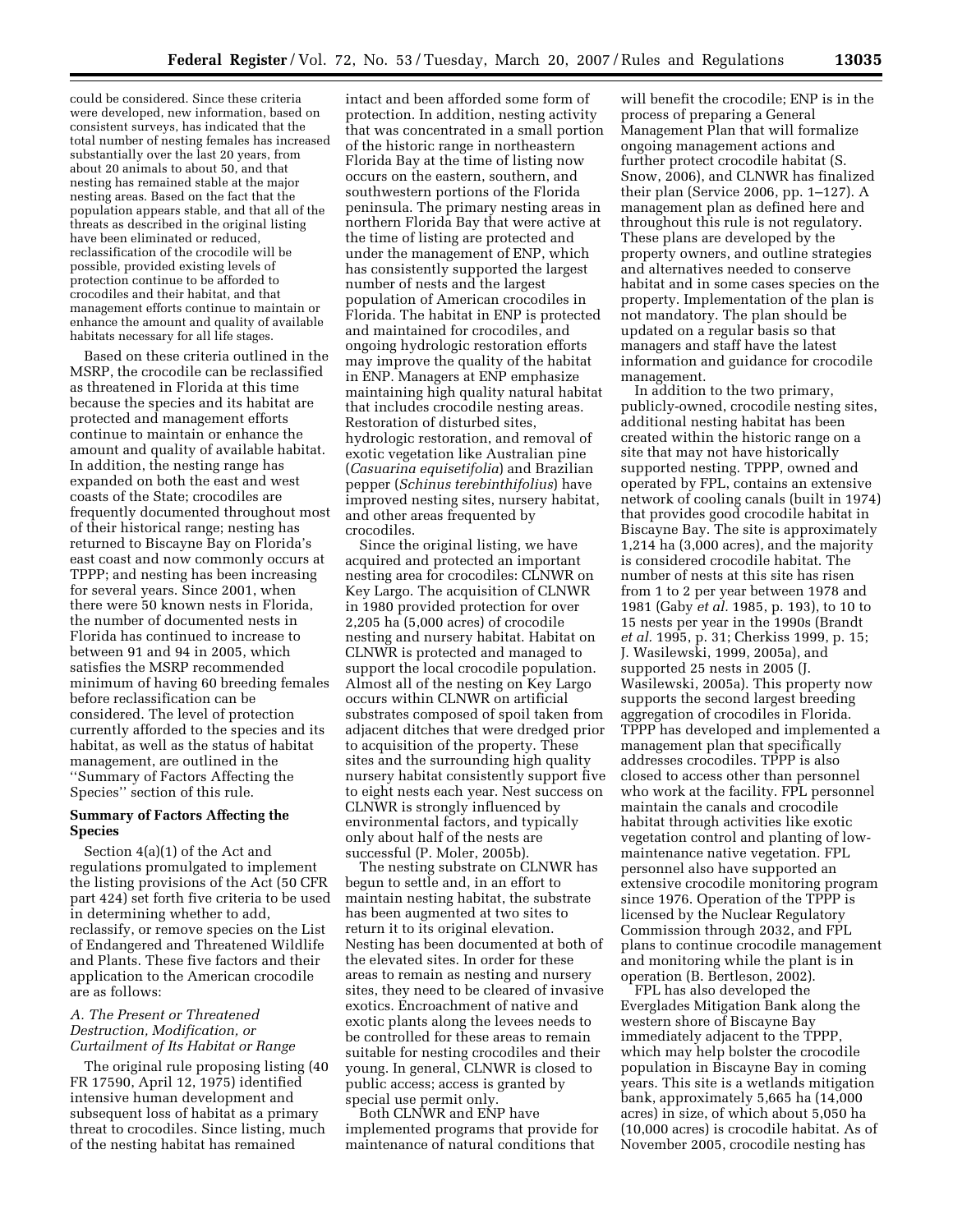could be considered. Since these criteria were developed, new information, based on consistent surveys, has indicated that the total number of nesting females has increased substantially over the last 20 years, from about 20 animals to about 50, and that nesting has remained stable at the major nesting areas. Based on the fact that the population appears stable, and that all of the threats as described in the original listing have been eliminated or reduced, reclassification of the crocodile will be possible, provided existing levels of protection continue to be afforded to crocodiles and their habitat, and that management efforts continue to maintain or enhance the amount and quality of available habitats necessary for all life stages.

Based on these criteria outlined in the MSRP, the crocodile can be reclassified as threatened in Florida at this time because the species and its habitat are protected and management efforts continue to maintain or enhance the amount and quality of available habitat. In addition, the nesting range has expanded on both the east and west coasts of the State; crocodiles are frequently documented throughout most of their historical range; nesting has returned to Biscayne Bay on Florida's east coast and now commonly occurs at TPPP; and nesting has been increasing for several years. Since 2001, when there were 50 known nests in Florida, the number of documented nests in Florida has continued to increase to between 91 and 94 in 2005, which satisfies the MSRP recommended minimum of having 60 breeding females before reclassification can be considered. The level of protection currently afforded to the species and its habitat, as well as the status of habitat management, are outlined in the ''Summary of Factors Affecting the Species'' section of this rule.

### **Summary of Factors Affecting the Species**

Section 4(a)(1) of the Act and regulations promulgated to implement the listing provisions of the Act (50 CFR part 424) set forth five criteria to be used in determining whether to add, reclassify, or remove species on the List of Endangered and Threatened Wildlife and Plants. These five factors and their application to the American crocodile are as follows:

# *A. The Present or Threatened Destruction, Modification, or Curtailment of Its Habitat or Range*

The original rule proposing listing (40 FR 17590, April 12, 1975) identified intensive human development and subsequent loss of habitat as a primary threat to crocodiles. Since listing, much of the nesting habitat has remained

intact and been afforded some form of protection. In addition, nesting activity that was concentrated in a small portion of the historic range in northeastern Florida Bay at the time of listing now occurs on the eastern, southern, and southwestern portions of the Florida peninsula. The primary nesting areas in northern Florida Bay that were active at the time of listing are protected and under the management of ENP, which has consistently supported the largest number of nests and the largest population of American crocodiles in Florida. The habitat in ENP is protected and maintained for crocodiles, and ongoing hydrologic restoration efforts may improve the quality of the habitat in ENP. Managers at ENP emphasize maintaining high quality natural habitat that includes crocodile nesting areas. Restoration of disturbed sites, hydrologic restoration, and removal of exotic vegetation like Australian pine (*Casuarina equisetifolia*) and Brazilian pepper (*Schinus terebinthifolius*) have improved nesting sites, nursery habitat, and other areas frequented by crocodiles.

Since the original listing, we have acquired and protected an important nesting area for crocodiles: CLNWR on Key Largo. The acquisition of CLNWR in 1980 provided protection for over 2,205 ha (5,000 acres) of crocodile nesting and nursery habitat. Habitat on CLNWR is protected and managed to support the local crocodile population. Almost all of the nesting on Key Largo occurs within CLNWR on artificial substrates composed of spoil taken from adjacent ditches that were dredged prior to acquisition of the property. These sites and the surrounding high quality nursery habitat consistently support five to eight nests each year. Nest success on CLNWR is strongly influenced by environmental factors, and typically only about half of the nests are successful (P. Moler, 2005b).

The nesting substrate on CLNWR has begun to settle and, in an effort to maintain nesting habitat, the substrate has been augmented at two sites to return it to its original elevation. Nesting has been documented at both of the elevated sites. In order for these areas to remain as nesting and nursery sites, they need to be cleared of invasive exotics. Encroachment of native and exotic plants along the levees needs to be controlled for these areas to remain suitable for nesting crocodiles and their young. In general, CLNWR is closed to public access; access is granted by special use permit only.

Both CLNWR and ENP have implemented programs that provide for maintenance of natural conditions that

will benefit the crocodile; ENP is in the process of preparing a General Management Plan that will formalize ongoing management actions and further protect crocodile habitat (S. Snow, 2006), and CLNWR has finalized their plan (Service 2006, pp. 1–127). A management plan as defined here and throughout this rule is not regulatory. These plans are developed by the property owners, and outline strategies and alternatives needed to conserve habitat and in some cases species on the property. Implementation of the plan is not mandatory. The plan should be updated on a regular basis so that managers and staff have the latest information and guidance for crocodile management.

In addition to the two primary, publicly-owned, crocodile nesting sites, additional nesting habitat has been created within the historic range on a site that may not have historically supported nesting. TPPP, owned and operated by FPL, contains an extensive network of cooling canals (built in 1974) that provides good crocodile habitat in Biscayne Bay. The site is approximately 1,214 ha (3,000 acres), and the majority is considered crocodile habitat. The number of nests at this site has risen from 1 to 2 per year between 1978 and 1981 (Gaby *et al.* 1985, p. 193), to 10 to 15 nests per year in the 1990s (Brandt *et al.* 1995, p. 31; Cherkiss 1999, p. 15; J. Wasilewski, 1999, 2005a), and supported 25 nests in 2005 (J. Wasilewski, 2005a). This property now supports the second largest breeding aggregation of crocodiles in Florida. TPPP has developed and implemented a management plan that specifically addresses crocodiles. TPPP is also closed to access other than personnel who work at the facility. FPL personnel maintain the canals and crocodile habitat through activities like exotic vegetation control and planting of lowmaintenance native vegetation. FPL personnel also have supported an extensive crocodile monitoring program since 1976. Operation of the TPPP is licensed by the Nuclear Regulatory Commission through 2032, and FPL plans to continue crocodile management and monitoring while the plant is in operation (B. Bertleson, 2002).

FPL has also developed the Everglades Mitigation Bank along the western shore of Biscayne Bay immediately adjacent to the TPPP, which may help bolster the crocodile population in Biscayne Bay in coming years. This site is a wetlands mitigation bank, approximately 5,665 ha (14,000 acres) in size, of which about 5,050 ha (10,000 acres) is crocodile habitat. As of November 2005, crocodile nesting has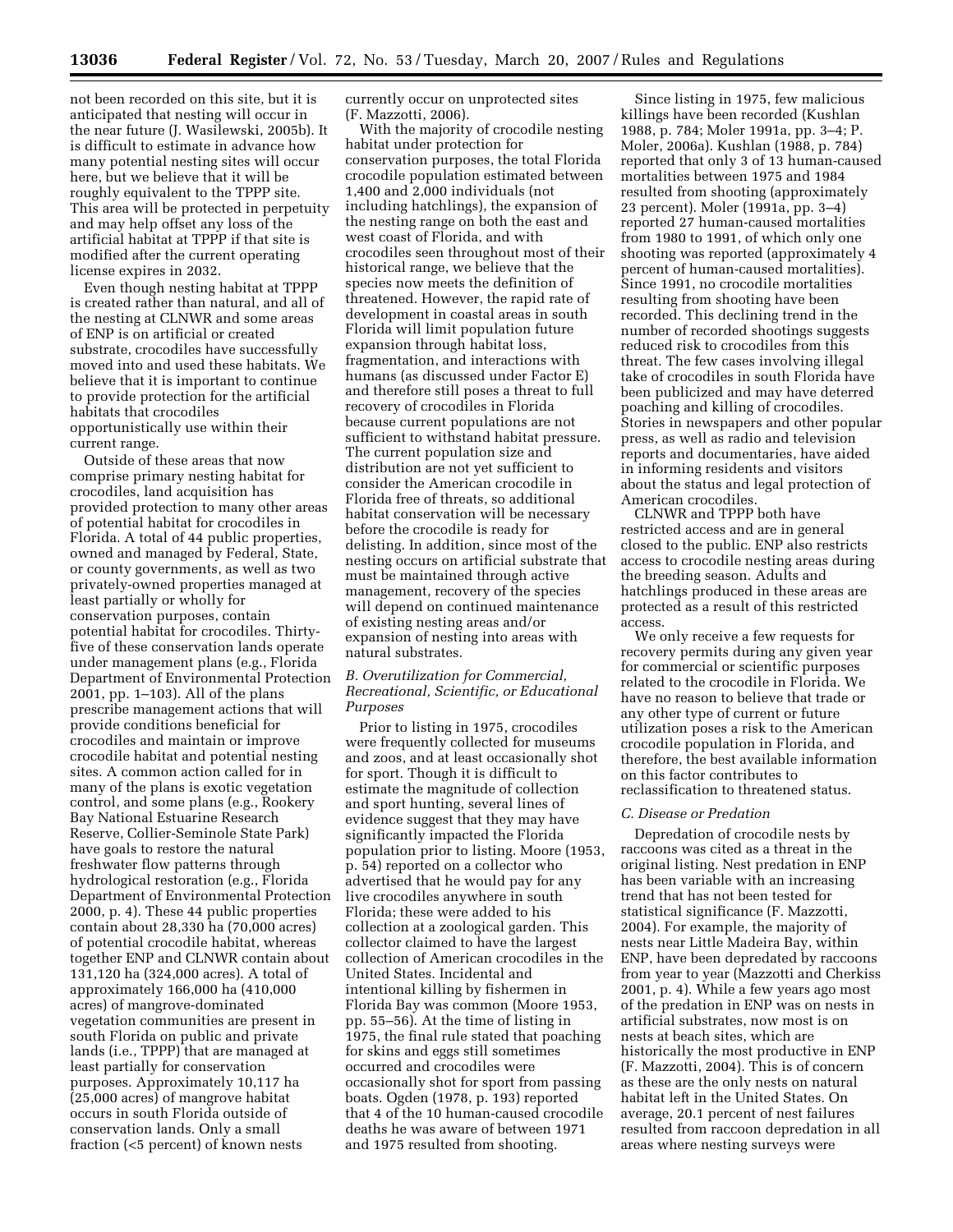not been recorded on this site, but it is anticipated that nesting will occur in the near future (J. Wasilewski, 2005b). It is difficult to estimate in advance how many potential nesting sites will occur here, but we believe that it will be roughly equivalent to the TPPP site. This area will be protected in perpetuity and may help offset any loss of the artificial habitat at TPPP if that site is modified after the current operating license expires in 2032.

Even though nesting habitat at TPPP is created rather than natural, and all of the nesting at CLNWR and some areas of ENP is on artificial or created substrate, crocodiles have successfully moved into and used these habitats. We believe that it is important to continue to provide protection for the artificial habitats that crocodiles opportunistically use within their current range.

Outside of these areas that now comprise primary nesting habitat for crocodiles, land acquisition has provided protection to many other areas of potential habitat for crocodiles in Florida. A total of 44 public properties, owned and managed by Federal, State, or county governments, as well as two privately-owned properties managed at least partially or wholly for conservation purposes, contain potential habitat for crocodiles. Thirtyfive of these conservation lands operate under management plans (e.g., Florida Department of Environmental Protection 2001, pp. 1–103). All of the plans prescribe management actions that will provide conditions beneficial for crocodiles and maintain or improve crocodile habitat and potential nesting sites. A common action called for in many of the plans is exotic vegetation control, and some plans (e.g., Rookery Bay National Estuarine Research Reserve, Collier-Seminole State Park) have goals to restore the natural freshwater flow patterns through hydrological restoration (e.g., Florida Department of Environmental Protection 2000, p. 4). These 44 public properties contain about 28,330 ha (70,000 acres) of potential crocodile habitat, whereas together ENP and CLNWR contain about 131,120 ha (324,000 acres). A total of approximately 166,000 ha (410,000 acres) of mangrove-dominated vegetation communities are present in south Florida on public and private lands (i.e., TPPP) that are managed at least partially for conservation purposes. Approximately 10,117 ha (25,000 acres) of mangrove habitat occurs in south Florida outside of conservation lands. Only a small fraction (<5 percent) of known nests

currently occur on unprotected sites (F. Mazzotti, 2006).

With the majority of crocodile nesting habitat under protection for conservation purposes, the total Florida crocodile population estimated between 1,400 and 2,000 individuals (not including hatchlings), the expansion of the nesting range on both the east and west coast of Florida, and with crocodiles seen throughout most of their historical range, we believe that the species now meets the definition of threatened. However, the rapid rate of development in coastal areas in south Florida will limit population future expansion through habitat loss, fragmentation, and interactions with humans (as discussed under Factor E) and therefore still poses a threat to full recovery of crocodiles in Florida because current populations are not sufficient to withstand habitat pressure. The current population size and distribution are not yet sufficient to consider the American crocodile in Florida free of threats, so additional habitat conservation will be necessary before the crocodile is ready for delisting. In addition, since most of the nesting occurs on artificial substrate that must be maintained through active management, recovery of the species will depend on continued maintenance of existing nesting areas and/or expansion of nesting into areas with natural substrates.

# *B. Overutilization for Commercial, Recreational, Scientific, or Educational Purposes*

Prior to listing in 1975, crocodiles were frequently collected for museums and zoos, and at least occasionally shot for sport. Though it is difficult to estimate the magnitude of collection and sport hunting, several lines of evidence suggest that they may have significantly impacted the Florida population prior to listing. Moore (1953, p. 54) reported on a collector who advertised that he would pay for any live crocodiles anywhere in south Florida; these were added to his collection at a zoological garden. This collector claimed to have the largest collection of American crocodiles in the United States. Incidental and intentional killing by fishermen in Florida Bay was common (Moore 1953, pp. 55–56). At the time of listing in 1975, the final rule stated that poaching for skins and eggs still sometimes occurred and crocodiles were occasionally shot for sport from passing boats. Ogden (1978, p. 193) reported that 4 of the 10 human-caused crocodile deaths he was aware of between 1971 and 1975 resulted from shooting.

Since listing in 1975, few malicious killings have been recorded (Kushlan 1988, p. 784; Moler 1991a, pp. 3–4; P. Moler, 2006a). Kushlan (1988, p. 784) reported that only 3 of 13 human-caused mortalities between 1975 and 1984 resulted from shooting (approximately 23 percent). Moler (1991a, pp. 3–4) reported 27 human-caused mortalities from 1980 to 1991, of which only one shooting was reported (approximately 4 percent of human-caused mortalities). Since 1991, no crocodile mortalities resulting from shooting have been recorded. This declining trend in the number of recorded shootings suggests reduced risk to crocodiles from this threat. The few cases involving illegal take of crocodiles in south Florida have been publicized and may have deterred poaching and killing of crocodiles. Stories in newspapers and other popular press, as well as radio and television reports and documentaries, have aided in informing residents and visitors about the status and legal protection of American crocodiles.

CLNWR and TPPP both have restricted access and are in general closed to the public. ENP also restricts access to crocodile nesting areas during the breeding season. Adults and hatchlings produced in these areas are protected as a result of this restricted access.

We only receive a few requests for recovery permits during any given year for commercial or scientific purposes related to the crocodile in Florida. We have no reason to believe that trade or any other type of current or future utilization poses a risk to the American crocodile population in Florida, and therefore, the best available information on this factor contributes to reclassification to threatened status.

#### *C. Disease or Predation*

Depredation of crocodile nests by raccoons was cited as a threat in the original listing. Nest predation in ENP has been variable with an increasing trend that has not been tested for statistical significance (F. Mazzotti, 2004). For example, the majority of nests near Little Madeira Bay, within ENP, have been depredated by raccoons from year to year (Mazzotti and Cherkiss 2001, p. 4). While a few years ago most of the predation in ENP was on nests in artificial substrates, now most is on nests at beach sites, which are historically the most productive in ENP (F. Mazzotti, 2004). This is of concern as these are the only nests on natural habitat left in the United States. On average, 20.1 percent of nest failures resulted from raccoon depredation in all areas where nesting surveys were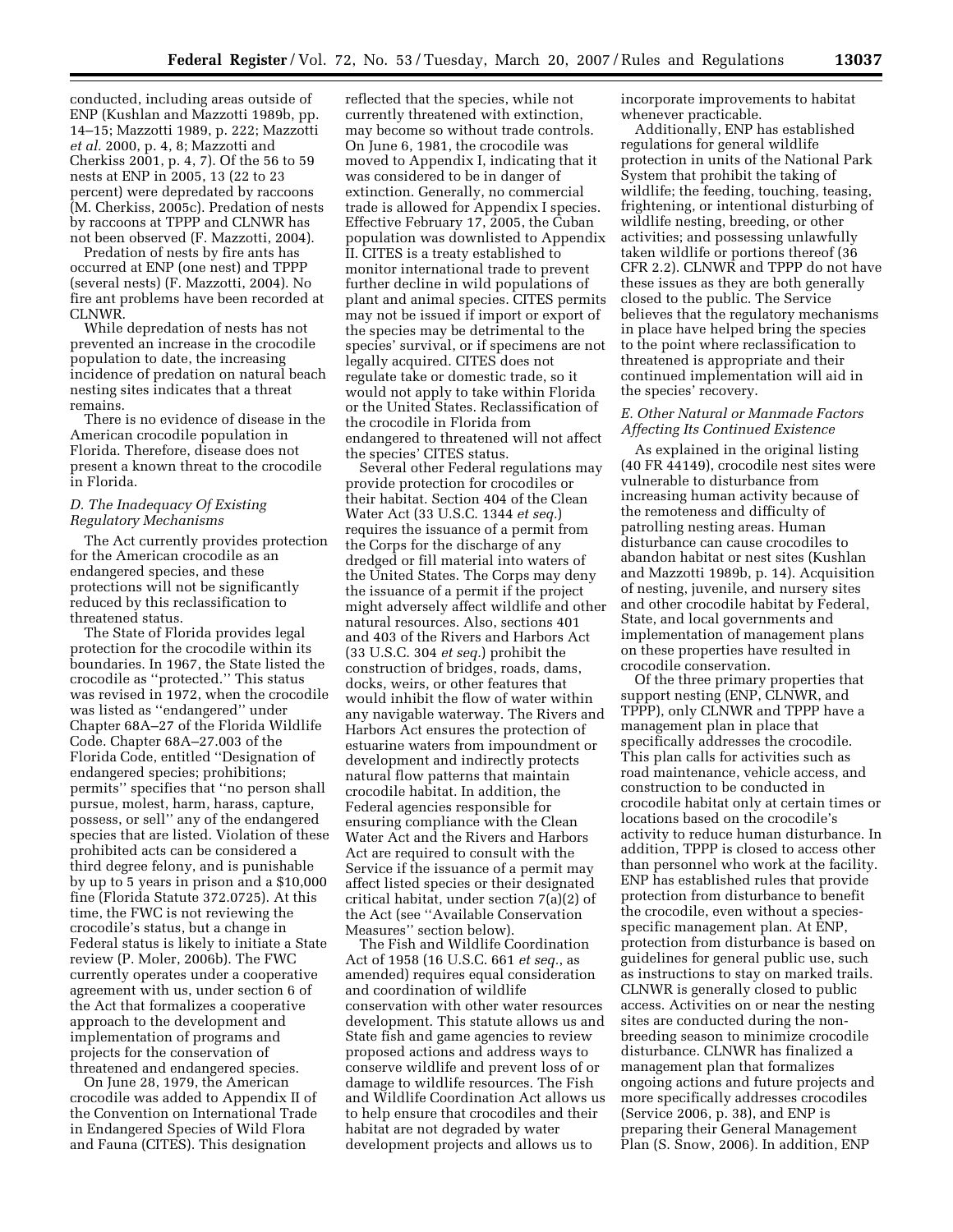conducted, including areas outside of ENP (Kushlan and Mazzotti 1989b, pp. 14–15; Mazzotti 1989, p. 222; Mazzotti *et al.* 2000, p. 4, 8; Mazzotti and Cherkiss 2001, p. 4, 7). Of the 56 to 59 nests at ENP in 2005, 13 (22 to 23 percent) were depredated by raccoons (M. Cherkiss, 2005c). Predation of nests by raccoons at TPPP and CLNWR has not been observed (F. Mazzotti, 2004).

Predation of nests by fire ants has occurred at ENP (one nest) and TPPP (several nests) (F. Mazzotti, 2004). No fire ant problems have been recorded at CLNWR.

While depredation of nests has not prevented an increase in the crocodile population to date, the increasing incidence of predation on natural beach nesting sites indicates that a threat remains.

There is no evidence of disease in the American crocodile population in Florida. Therefore, disease does not present a known threat to the crocodile in Florida.

# *D. The Inadequacy Of Existing Regulatory Mechanisms*

The Act currently provides protection for the American crocodile as an endangered species, and these protections will not be significantly reduced by this reclassification to threatened status.

The State of Florida provides legal protection for the crocodile within its boundaries. In 1967, the State listed the crocodile as ''protected.'' This status was revised in 1972, when the crocodile was listed as ''endangered'' under Chapter 68A–27 of the Florida Wildlife Code. Chapter 68A–27.003 of the Florida Code, entitled ''Designation of endangered species; prohibitions; permits'' specifies that ''no person shall pursue, molest, harm, harass, capture, possess, or sell'' any of the endangered species that are listed. Violation of these prohibited acts can be considered a third degree felony, and is punishable by up to 5 years in prison and a \$10,000 fine (Florida Statute 372.0725). At this time, the FWC is not reviewing the crocodile's status, but a change in Federal status is likely to initiate a State review (P. Moler, 2006b). The FWC currently operates under a cooperative agreement with us, under section 6 of the Act that formalizes a cooperative approach to the development and implementation of programs and projects for the conservation of threatened and endangered species.

On June 28, 1979, the American crocodile was added to Appendix II of the Convention on International Trade in Endangered Species of Wild Flora and Fauna (CITES). This designation

reflected that the species, while not currently threatened with extinction, may become so without trade controls. On June 6, 1981, the crocodile was moved to Appendix I, indicating that it was considered to be in danger of extinction. Generally, no commercial trade is allowed for Appendix I species. Effective February 17, 2005, the Cuban population was downlisted to Appendix II. CITES is a treaty established to monitor international trade to prevent further decline in wild populations of plant and animal species. CITES permits may not be issued if import or export of the species may be detrimental to the species' survival, or if specimens are not legally acquired. CITES does not regulate take or domestic trade, so it would not apply to take within Florida or the United States. Reclassification of the crocodile in Florida from endangered to threatened will not affect the species' CITES status.

Several other Federal regulations may provide protection for crocodiles or their habitat. Section 404 of the Clean Water Act (33 U.S.C. 1344 *et seq.*) requires the issuance of a permit from the Corps for the discharge of any dredged or fill material into waters of the United States. The Corps may deny the issuance of a permit if the project might adversely affect wildlife and other natural resources. Also, sections 401 and 403 of the Rivers and Harbors Act (33 U.S.C. 304 *et seq.*) prohibit the construction of bridges, roads, dams, docks, weirs, or other features that would inhibit the flow of water within any navigable waterway. The Rivers and Harbors Act ensures the protection of estuarine waters from impoundment or development and indirectly protects natural flow patterns that maintain crocodile habitat. In addition, the Federal agencies responsible for ensuring compliance with the Clean Water Act and the Rivers and Harbors Act are required to consult with the Service if the issuance of a permit may affect listed species or their designated critical habitat, under section 7(a)(2) of the Act (see ''Available Conservation Measures'' section below).

The Fish and Wildlife Coordination Act of 1958 (16 U.S.C. 661 *et seq.*, as amended) requires equal consideration and coordination of wildlife conservation with other water resources development. This statute allows us and State fish and game agencies to review proposed actions and address ways to conserve wildlife and prevent loss of or damage to wildlife resources. The Fish and Wildlife Coordination Act allows us to help ensure that crocodiles and their habitat are not degraded by water development projects and allows us to

incorporate improvements to habitat whenever practicable.

Additionally, ENP has established regulations for general wildlife protection in units of the National Park System that prohibit the taking of wildlife; the feeding, touching, teasing, frightening, or intentional disturbing of wildlife nesting, breeding, or other activities; and possessing unlawfully taken wildlife or portions thereof (36 CFR 2.2). CLNWR and TPPP do not have these issues as they are both generally closed to the public. The Service believes that the regulatory mechanisms in place have helped bring the species to the point where reclassification to threatened is appropriate and their continued implementation will aid in the species' recovery.

### *E. Other Natural or Manmade Factors Affecting Its Continued Existence*

As explained in the original listing (40 FR 44149), crocodile nest sites were vulnerable to disturbance from increasing human activity because of the remoteness and difficulty of patrolling nesting areas. Human disturbance can cause crocodiles to abandon habitat or nest sites (Kushlan and Mazzotti 1989b, p. 14). Acquisition of nesting, juvenile, and nursery sites and other crocodile habitat by Federal, State, and local governments and implementation of management plans on these properties have resulted in crocodile conservation.

Of the three primary properties that support nesting (ENP, CLNWR, and TPPP), only CLNWR and TPPP have a management plan in place that specifically addresses the crocodile. This plan calls for activities such as road maintenance, vehicle access, and construction to be conducted in crocodile habitat only at certain times or locations based on the crocodile's activity to reduce human disturbance. In addition, TPPP is closed to access other than personnel who work at the facility. ENP has established rules that provide protection from disturbance to benefit the crocodile, even without a speciesspecific management plan. At ENP, protection from disturbance is based on guidelines for general public use, such as instructions to stay on marked trails. CLNWR is generally closed to public access. Activities on or near the nesting sites are conducted during the nonbreeding season to minimize crocodile disturbance. CLNWR has finalized a management plan that formalizes ongoing actions and future projects and more specifically addresses crocodiles (Service 2006, p. 38), and ENP is preparing their General Management Plan (S. Snow, 2006). In addition, ENP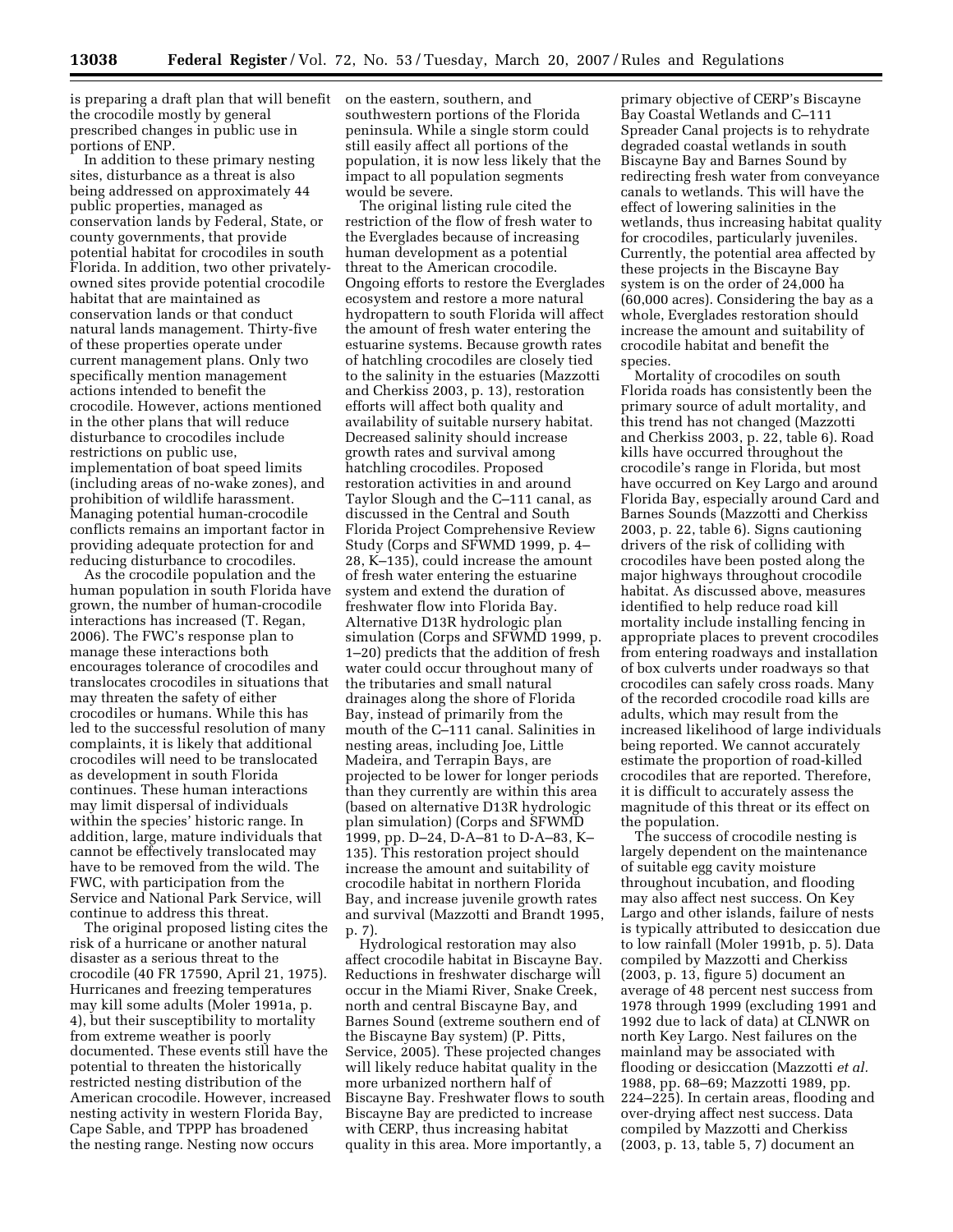is preparing a draft plan that will benefit on the eastern, southern, and the crocodile mostly by general prescribed changes in public use in portions of ENP.

In addition to these primary nesting sites, disturbance as a threat is also being addressed on approximately 44 public properties, managed as conservation lands by Federal, State, or county governments, that provide potential habitat for crocodiles in south Florida. In addition, two other privatelyowned sites provide potential crocodile habitat that are maintained as conservation lands or that conduct natural lands management. Thirty-five of these properties operate under current management plans. Only two specifically mention management actions intended to benefit the crocodile. However, actions mentioned in the other plans that will reduce disturbance to crocodiles include restrictions on public use, implementation of boat speed limits (including areas of no-wake zones), and prohibition of wildlife harassment. Managing potential human-crocodile conflicts remains an important factor in providing adequate protection for and reducing disturbance to crocodiles.

As the crocodile population and the human population in south Florida have grown, the number of human-crocodile interactions has increased (T. Regan, 2006). The FWC's response plan to manage these interactions both encourages tolerance of crocodiles and translocates crocodiles in situations that may threaten the safety of either crocodiles or humans. While this has led to the successful resolution of many complaints, it is likely that additional crocodiles will need to be translocated as development in south Florida continues. These human interactions may limit dispersal of individuals within the species' historic range. In addition, large, mature individuals that cannot be effectively translocated may have to be removed from the wild. The FWC, with participation from the Service and National Park Service, will continue to address this threat.

The original proposed listing cites the risk of a hurricane or another natural disaster as a serious threat to the crocodile (40 FR 17590, April 21, 1975). Hurricanes and freezing temperatures may kill some adults (Moler 1991a, p. 4), but their susceptibility to mortality from extreme weather is poorly documented. These events still have the potential to threaten the historically restricted nesting distribution of the American crocodile. However, increased nesting activity in western Florida Bay, Cape Sable, and TPPP has broadened the nesting range. Nesting now occurs

southwestern portions of the Florida peninsula. While a single storm could still easily affect all portions of the population, it is now less likely that the impact to all population segments would be severe.

The original listing rule cited the restriction of the flow of fresh water to the Everglades because of increasing human development as a potential threat to the American crocodile. Ongoing efforts to restore the Everglades ecosystem and restore a more natural hydropattern to south Florida will affect the amount of fresh water entering the estuarine systems. Because growth rates of hatchling crocodiles are closely tied to the salinity in the estuaries (Mazzotti and Cherkiss 2003, p. 13), restoration efforts will affect both quality and availability of suitable nursery habitat. Decreased salinity should increase growth rates and survival among hatchling crocodiles. Proposed restoration activities in and around Taylor Slough and the C–111 canal, as discussed in the Central and South Florida Project Comprehensive Review Study (Corps and SFWMD 1999, p. 4– 28, K–135), could increase the amount of fresh water entering the estuarine system and extend the duration of freshwater flow into Florida Bay. Alternative D13R hydrologic plan simulation (Corps and SFWMD 1999, p. 1–20) predicts that the addition of fresh water could occur throughout many of the tributaries and small natural drainages along the shore of Florida Bay, instead of primarily from the mouth of the C–111 canal. Salinities in nesting areas, including Joe, Little Madeira, and Terrapin Bays, are projected to be lower for longer periods than they currently are within this area (based on alternative D13R hydrologic plan simulation) (Corps and SFWMD 1999, pp. D–24, D-A–81 to D-A–83, K– 135). This restoration project should increase the amount and suitability of crocodile habitat in northern Florida Bay, and increase juvenile growth rates and survival (Mazzotti and Brandt 1995, p. 7).

Hydrological restoration may also affect crocodile habitat in Biscayne Bay. Reductions in freshwater discharge will occur in the Miami River, Snake Creek, north and central Biscayne Bay, and Barnes Sound (extreme southern end of the Biscayne Bay system) (P. Pitts, Service, 2005). These projected changes will likely reduce habitat quality in the more urbanized northern half of Biscayne Bay. Freshwater flows to south Biscayne Bay are predicted to increase with CERP, thus increasing habitat quality in this area. More importantly, a

primary objective of CERP's Biscayne Bay Coastal Wetlands and C–111 Spreader Canal projects is to rehydrate degraded coastal wetlands in south Biscayne Bay and Barnes Sound by redirecting fresh water from conveyance canals to wetlands. This will have the effect of lowering salinities in the wetlands, thus increasing habitat quality for crocodiles, particularly juveniles. Currently, the potential area affected by these projects in the Biscayne Bay system is on the order of 24,000 ha (60,000 acres). Considering the bay as a whole, Everglades restoration should increase the amount and suitability of crocodile habitat and benefit the species.

Mortality of crocodiles on south Florida roads has consistently been the primary source of adult mortality, and this trend has not changed (Mazzotti and Cherkiss 2003, p. 22, table 6). Road kills have occurred throughout the crocodile's range in Florida, but most have occurred on Key Largo and around Florida Bay, especially around Card and Barnes Sounds (Mazzotti and Cherkiss 2003, p. 22, table 6). Signs cautioning drivers of the risk of colliding with crocodiles have been posted along the major highways throughout crocodile habitat. As discussed above, measures identified to help reduce road kill mortality include installing fencing in appropriate places to prevent crocodiles from entering roadways and installation of box culverts under roadways so that crocodiles can safely cross roads. Many of the recorded crocodile road kills are adults, which may result from the increased likelihood of large individuals being reported. We cannot accurately estimate the proportion of road-killed crocodiles that are reported. Therefore, it is difficult to accurately assess the magnitude of this threat or its effect on the population.

The success of crocodile nesting is largely dependent on the maintenance of suitable egg cavity moisture throughout incubation, and flooding may also affect nest success. On Key Largo and other islands, failure of nests is typically attributed to desiccation due to low rainfall (Moler 1991b, p. 5). Data compiled by Mazzotti and Cherkiss (2003, p. 13, figure 5) document an average of 48 percent nest success from 1978 through 1999 (excluding 1991 and 1992 due to lack of data) at CLNWR on north Key Largo. Nest failures on the mainland may be associated with flooding or desiccation (Mazzotti *et al.*  1988, pp. 68–69; Mazzotti 1989, pp. 224–225). In certain areas, flooding and over-drying affect nest success. Data compiled by Mazzotti and Cherkiss (2003, p. 13, table 5, 7) document an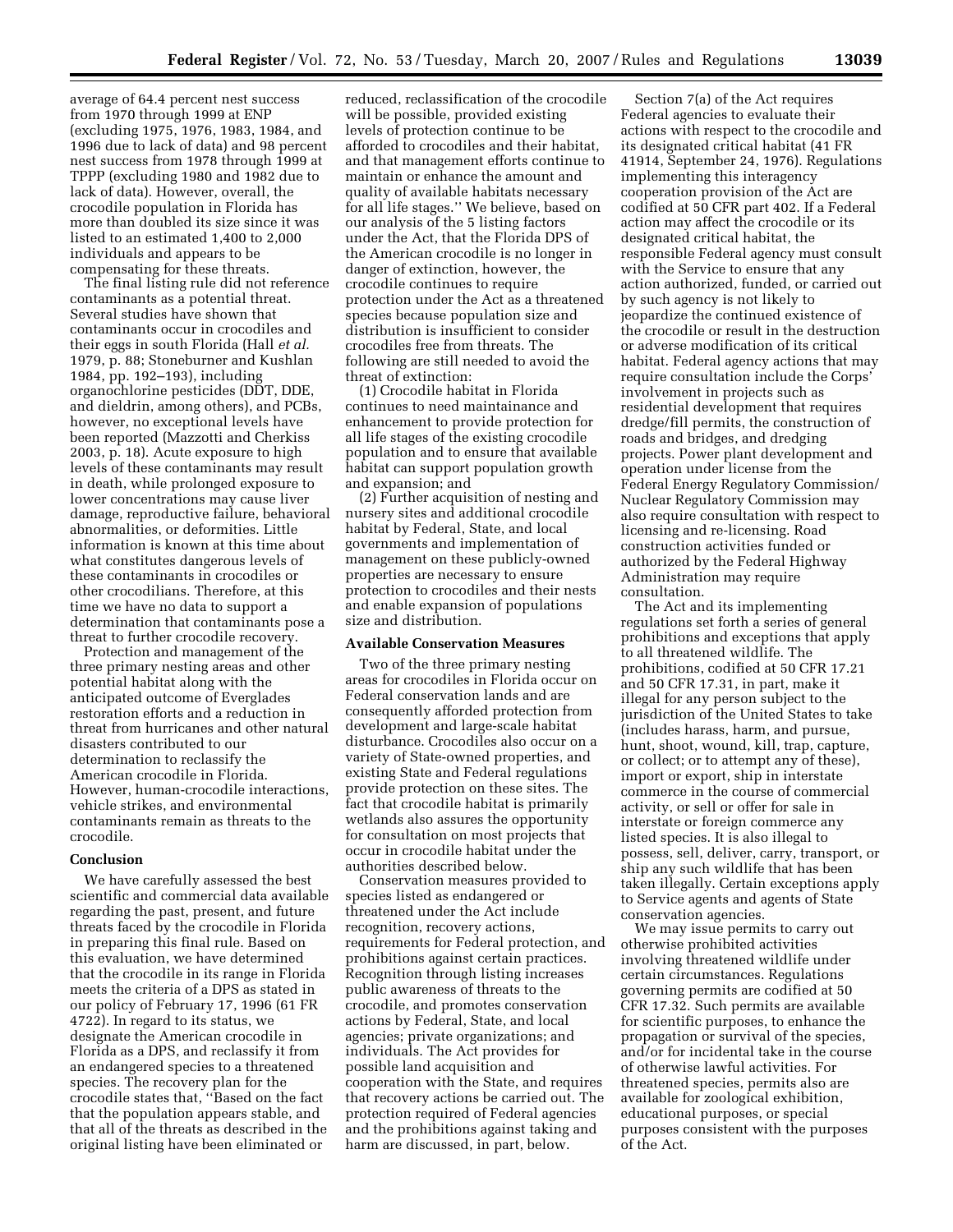average of 64.4 percent nest success from 1970 through 1999 at ENP (excluding 1975, 1976, 1983, 1984, and 1996 due to lack of data) and 98 percent nest success from 1978 through 1999 at TPPP (excluding 1980 and 1982 due to lack of data). However, overall, the crocodile population in Florida has more than doubled its size since it was listed to an estimated 1,400 to 2,000 individuals and appears to be compensating for these threats.

The final listing rule did not reference contaminants as a potential threat. Several studies have shown that contaminants occur in crocodiles and their eggs in south Florida (Hall *et al.*  1979, p. 88; Stoneburner and Kushlan 1984, pp. 192–193), including organochlorine pesticides (DDT, DDE, and dieldrin, among others), and PCBs, however, no exceptional levels have been reported (Mazzotti and Cherkiss 2003, p. 18). Acute exposure to high levels of these contaminants may result in death, while prolonged exposure to lower concentrations may cause liver damage, reproductive failure, behavioral abnormalities, or deformities. Little information is known at this time about what constitutes dangerous levels of these contaminants in crocodiles or other crocodilians. Therefore, at this time we have no data to support a determination that contaminants pose a threat to further crocodile recovery.

Protection and management of the three primary nesting areas and other potential habitat along with the anticipated outcome of Everglades restoration efforts and a reduction in threat from hurricanes and other natural disasters contributed to our determination to reclassify the American crocodile in Florida. However, human-crocodile interactions, vehicle strikes, and environmental contaminants remain as threats to the crocodile.

### **Conclusion**

We have carefully assessed the best scientific and commercial data available regarding the past, present, and future threats faced by the crocodile in Florida in preparing this final rule. Based on this evaluation, we have determined that the crocodile in its range in Florida meets the criteria of a DPS as stated in our policy of February 17, 1996 (61 FR 4722). In regard to its status, we designate the American crocodile in Florida as a DPS, and reclassify it from an endangered species to a threatened species. The recovery plan for the crocodile states that, ''Based on the fact that the population appears stable, and that all of the threats as described in the original listing have been eliminated or

reduced, reclassification of the crocodile will be possible, provided existing levels of protection continue to be afforded to crocodiles and their habitat, and that management efforts continue to maintain or enhance the amount and quality of available habitats necessary for all life stages.'' We believe, based on our analysis of the 5 listing factors under the Act, that the Florida DPS of the American crocodile is no longer in danger of extinction, however, the crocodile continues to require protection under the Act as a threatened species because population size and distribution is insufficient to consider crocodiles free from threats. The following are still needed to avoid the threat of extinction:

(1) Crocodile habitat in Florida continues to need maintainance and enhancement to provide protection for all life stages of the existing crocodile population and to ensure that available habitat can support population growth and expansion; and

(2) Further acquisition of nesting and nursery sites and additional crocodile habitat by Federal, State, and local governments and implementation of management on these publicly-owned properties are necessary to ensure protection to crocodiles and their nests and enable expansion of populations size and distribution.

#### **Available Conservation Measures**

Two of the three primary nesting areas for crocodiles in Florida occur on Federal conservation lands and are consequently afforded protection from development and large-scale habitat disturbance. Crocodiles also occur on a variety of State-owned properties, and existing State and Federal regulations provide protection on these sites. The fact that crocodile habitat is primarily wetlands also assures the opportunity for consultation on most projects that occur in crocodile habitat under the authorities described below.

Conservation measures provided to species listed as endangered or threatened under the Act include recognition, recovery actions, requirements for Federal protection, and prohibitions against certain practices. Recognition through listing increases public awareness of threats to the crocodile, and promotes conservation actions by Federal, State, and local agencies; private organizations; and individuals. The Act provides for possible land acquisition and cooperation with the State, and requires that recovery actions be carried out. The protection required of Federal agencies and the prohibitions against taking and harm are discussed, in part, below.

Section 7(a) of the Act requires Federal agencies to evaluate their actions with respect to the crocodile and its designated critical habitat (41 FR 41914, September 24, 1976). Regulations implementing this interagency cooperation provision of the Act are codified at 50 CFR part 402. If a Federal action may affect the crocodile or its designated critical habitat, the responsible Federal agency must consult with the Service to ensure that any action authorized, funded, or carried out by such agency is not likely to jeopardize the continued existence of the crocodile or result in the destruction or adverse modification of its critical habitat. Federal agency actions that may require consultation include the Corps' involvement in projects such as residential development that requires dredge/fill permits, the construction of roads and bridges, and dredging projects. Power plant development and operation under license from the Federal Energy Regulatory Commission/ Nuclear Regulatory Commission may also require consultation with respect to licensing and re-licensing. Road construction activities funded or authorized by the Federal Highway Administration may require consultation.

The Act and its implementing regulations set forth a series of general prohibitions and exceptions that apply to all threatened wildlife. The prohibitions, codified at 50 CFR 17.21 and 50 CFR 17.31, in part, make it illegal for any person subject to the jurisdiction of the United States to take (includes harass, harm, and pursue, hunt, shoot, wound, kill, trap, capture, or collect; or to attempt any of these), import or export, ship in interstate commerce in the course of commercial activity, or sell or offer for sale in interstate or foreign commerce any listed species. It is also illegal to possess, sell, deliver, carry, transport, or ship any such wildlife that has been taken illegally. Certain exceptions apply to Service agents and agents of State conservation agencies.

We may issue permits to carry out otherwise prohibited activities involving threatened wildlife under certain circumstances. Regulations governing permits are codified at 50 CFR 17.32. Such permits are available for scientific purposes, to enhance the propagation or survival of the species, and/or for incidental take in the course of otherwise lawful activities. For threatened species, permits also are available for zoological exhibition, educational purposes, or special purposes consistent with the purposes of the Act.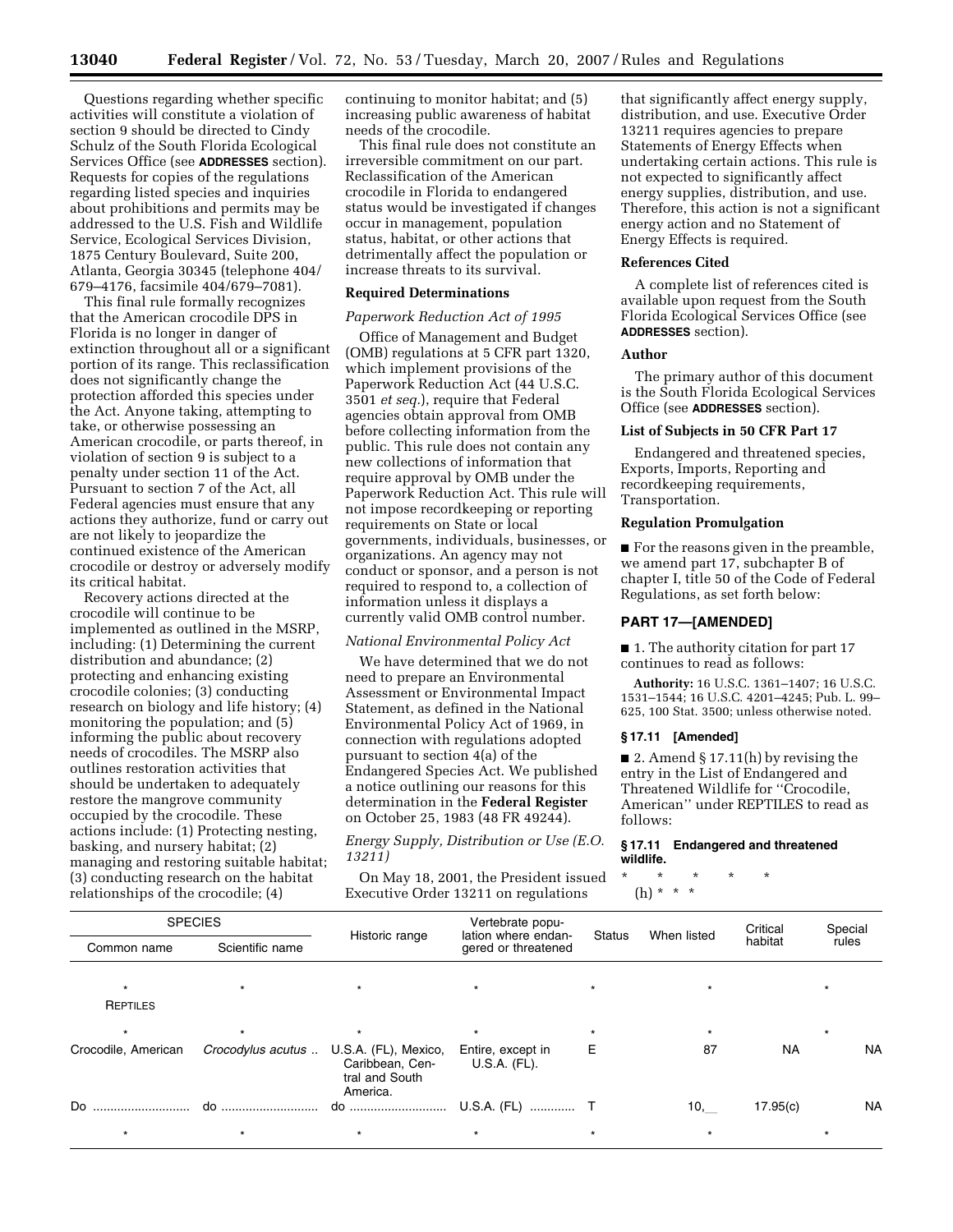Questions regarding whether specific activities will constitute a violation of section 9 should be directed to Cindy Schulz of the South Florida Ecological Services Office (see **ADDRESSES** section). Requests for copies of the regulations regarding listed species and inquiries about prohibitions and permits may be addressed to the U.S. Fish and Wildlife Service, Ecological Services Division, 1875 Century Boulevard, Suite 200, Atlanta, Georgia 30345 (telephone 404/ 679–4176, facsimile 404/679–7081).

This final rule formally recognizes that the American crocodile DPS in Florida is no longer in danger of extinction throughout all or a significant portion of its range. This reclassification does not significantly change the protection afforded this species under the Act. Anyone taking, attempting to take, or otherwise possessing an American crocodile, or parts thereof, in violation of section 9 is subject to a penalty under section 11 of the Act. Pursuant to section 7 of the Act, all Federal agencies must ensure that any actions they authorize, fund or carry out are not likely to jeopardize the continued existence of the American crocodile or destroy or adversely modify its critical habitat.

Recovery actions directed at the crocodile will continue to be implemented as outlined in the MSRP, including: (1) Determining the current distribution and abundance; (2) protecting and enhancing existing crocodile colonies; (3) conducting research on biology and life history; (4) monitoring the population; and (5) informing the public about recovery needs of crocodiles. The MSRP also outlines restoration activities that should be undertaken to adequately restore the mangrove community occupied by the crocodile. These actions include: (1) Protecting nesting, basking, and nursery habitat; (2) managing and restoring suitable habitat; (3) conducting research on the habitat relationships of the crocodile; (4)

continuing to monitor habitat; and (5) increasing public awareness of habitat needs of the crocodile.

This final rule does not constitute an irreversible commitment on our part. Reclassification of the American crocodile in Florida to endangered status would be investigated if changes occur in management, population status, habitat, or other actions that detrimentally affect the population or increase threats to its survival.

#### **Required Determinations**

### *Paperwork Reduction Act of 1995*

Office of Management and Budget (OMB) regulations at 5 CFR part 1320, which implement provisions of the Paperwork Reduction Act (44 U.S.C. 3501 *et seq.*), require that Federal agencies obtain approval from OMB before collecting information from the public. This rule does not contain any new collections of information that require approval by OMB under the Paperwork Reduction Act. This rule will not impose recordkeeping or reporting requirements on State or local governments, individuals, businesses, or organizations. An agency may not conduct or sponsor, and a person is not required to respond to, a collection of information unless it displays a currently valid OMB control number.

### *National Environmental Policy Act*

We have determined that we do not need to prepare an Environmental Assessment or Environmental Impact Statement, as defined in the National Environmental Policy Act of 1969, in connection with regulations adopted pursuant to section 4(a) of the Endangered Species Act. We published a notice outlining our reasons for this determination in the **Federal Register**  on October 25, 1983 (48 FR 49244).

*Energy Supply, Distribution or Use (E.O. 13211)* 

On May 18, 2001, the President issued Executive Order 13211 on regulations

that significantly affect energy supply, distribution, and use. Executive Order 13211 requires agencies to prepare Statements of Energy Effects when undertaking certain actions. This rule is not expected to significantly affect energy supplies, distribution, and use. Therefore, this action is not a significant energy action and no Statement of Energy Effects is required.

### **References Cited**

A complete list of references cited is available upon request from the South Florida Ecological Services Office (see **ADDRESSES** section).

#### **Author**

The primary author of this document is the South Florida Ecological Services Office (see **ADDRESSES** section).

### **List of Subjects in 50 CFR Part 17**

Endangered and threatened species, Exports, Imports, Reporting and recordkeeping requirements, Transportation.

### **Regulation Promulgation**

■ For the reasons given in the preamble, we amend part 17, subchapter B of chapter I, title 50 of the Code of Federal Regulations, as set forth below:

#### **PART 17—[AMENDED]**

■ 1. The authority citation for part 17 continues to read as follows:

**Authority:** 16 U.S.C. 1361–1407; 16 U.S.C. 1531–1544; 16 U.S.C. 4201–4245; Pub. L. 99– 625, 100 Stat. 3500; unless otherwise noted.

#### **§ 17.11 [Amended]**

■ 2. Amend § 17.11(h) by revising the entry in the List of Endangered and Threatened Wildlife for ''Crocodile, American'' under REPTILES to read as follows:

### **§ 17.11 Endangered and threatened wildlife.**

\* \* \* \* \*

(h) \* \* \*

| <b>SPECIES</b>      |                   |                                                                       | Vertebrate popu-<br>lation where endan- | <b>Status</b> | When listed | Critical  | Special   |
|---------------------|-------------------|-----------------------------------------------------------------------|-----------------------------------------|---------------|-------------|-----------|-----------|
| Common name         | Scientific name   | Historic range                                                        | gered or threatened                     |               |             | habitat   | rules     |
|                     |                   | $\star$                                                               | $\star$                                 |               |             |           |           |
| REPTILES            |                   |                                                                       |                                         |               |             |           |           |
|                     |                   | $\star$                                                               | $\star$                                 |               |             |           | $\star$   |
| Crocodile, American | Crocodylus acutus | U.S.A. (FL), Mexico,<br>Caribbean, Cen-<br>tral and South<br>America. | Entire, except in<br>U.S.A. (FL).       | Е             | 87          | <b>NA</b> | <b>NA</b> |
| Do                  |                   |                                                                       | U.S.A. (FL)  T                          |               | 10,         | 17.95(c)  | <b>NA</b> |
|                     |                   | $^\star$                                                              | $\star$                                 |               | $\star$     |           |           |